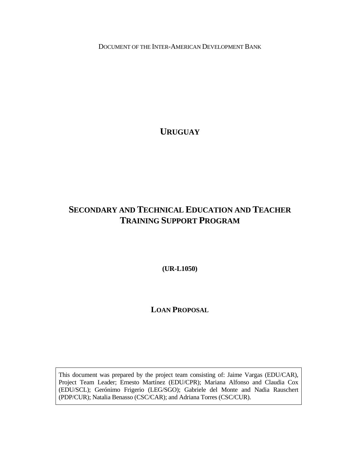DOCUMENT OF THE INTER-AMERICAN DEVELOPMENT BANK

**URUGUAY**

## <span id="page-0-2"></span><span id="page-0-1"></span><span id="page-0-0"></span>**SECONDARY AND TECHNICAL EDUCATION AND TEACHER TRAINING SUPPORT PROGRAM**

**(UR-L1050)** 

## **LOAN PROPOSAL**

This document was prepared by the project team consisting of: Jaime Vargas (EDU/CAR), Project Team Leader; Ernesto Martínez (EDU/CPR); Mariana Alfonso and Claudia Cox (EDU/SCL); Gerónimo Frigerio (LEG/SGO); Gabriele del Monte and Nadia Rauschert (PDP/CUR); Natalia Benasso (CSC/CAR); and Adriana Torres (CSC/CUR).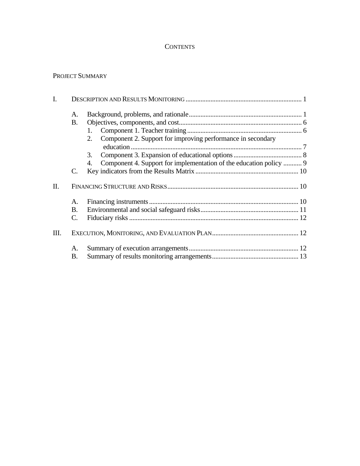## **CONTENTS**

#### PROJECT SUMMARY

| I. |                |                                                                    |  |
|----|----------------|--------------------------------------------------------------------|--|
|    | A.             |                                                                    |  |
|    | <b>B.</b>      |                                                                    |  |
|    |                |                                                                    |  |
|    |                | Component 2. Support for improving performance in secondary<br>2.  |  |
|    |                |                                                                    |  |
|    |                | 3.                                                                 |  |
|    |                | Component 4. Support for implementation of the education policy  9 |  |
|    | $\mathbf{C}$ . |                                                                    |  |
| Π. |                |                                                                    |  |
|    | A.             |                                                                    |  |
|    | B.             |                                                                    |  |
|    | C.             |                                                                    |  |
| Ш. |                |                                                                    |  |
|    | А.             |                                                                    |  |
|    | <b>B.</b>      |                                                                    |  |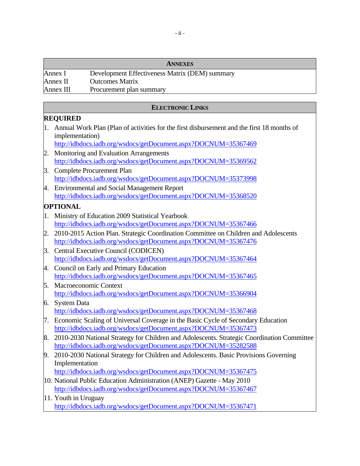|           | <b>ANNEXES</b>                                 |
|-----------|------------------------------------------------|
| Annex I   | Development Effectiveness Matrix (DEM) summary |
| Annex II  | <b>Outcomes Matrix</b>                         |
| Annex III | Procurement plan summary                       |

#### **ELECTRONIC LINKS**

#### **REQUIRED**

1. Annual Work Plan (Plan of activities for the first disbursement and the first 18 months of implementation)

<http://idbdocs.iadb.org/wsdocs/getDocument.aspx?DOCNUM=35367469>

- 2. Monitoring and Evaluation Arrangements <http://idbdocs.iadb.org/wsdocs/getDocument.aspx?DOCNUM=35369562>
- 3. Complete Procurement Plan <http://idbdocs.iadb.org/wsdocs/getDocument.aspx?DOCNUM=35373998>
- 4. Environmental and Social Management Report <http://idbdocs.iadb.org/wsdocs/getDocument.aspx?DOCNUM=35368520>

## **OPTIONAL**

- 1. Ministry of Education 2009 Statistical Yearbook <http://idbdocs.iadb.org/wsdocs/getDocument.aspx?DOCNUM=35367466>
- 2. 2010-2015 Action Plan. Strategic Coordination Committee on Children and Adolescents <http://idbdocs.iadb.org/wsdocs/getDocument.aspx?DOCNUM=35367476>
- 3. Central Executive Council (CODICEN) <http://idbdocs.iadb.org/wsdocs/getDocument.aspx?DOCNUM=35367464>
- 4. Council on Early and Primary Education <http://idbdocs.iadb.org/wsdocs/getDocument.aspx?DOCNUM=35367465>
- 5. Macroeconomic Context <http://idbdocs.iadb.org/wsdocs/getDocument.aspx?DOCNUM=35366904>
- 6. System Data <http://idbdocs.iadb.org/wsdocs/getDocument.aspx?DOCNUM=35367468>
- 7. Economic Scaling of Universal Coverage in the Basic Cycle of Secondary Education <http://idbdocs.iadb.org/wsdocs/getDocument.aspx?DOCNUM=35367473>
- 8. 2010-2030 National Strategy for Children and Adolescents. Strategic Coordination Committee <http://idbdocs.iadb.org/wsdocs/getDocument.aspx?DOCNUM=35282588>
- 9. 2010-2030 National Strategy for Children and Adolescents. Basic Provisions Governing Implementation

<http://idbdocs.iadb.org/wsdocs/getDocument.aspx?DOCNUM=35367475>

- 10. National Public Education Administration (ANEP) Gazette May 2010 <http://idbdocs.iadb.org/wsdocs/getDocument.aspx?DOCNUM=35367467>
- 11. Youth in Uruguay <http://idbdocs.iadb.org/wsdocs/getDocument.aspx?DOCNUM=35367471>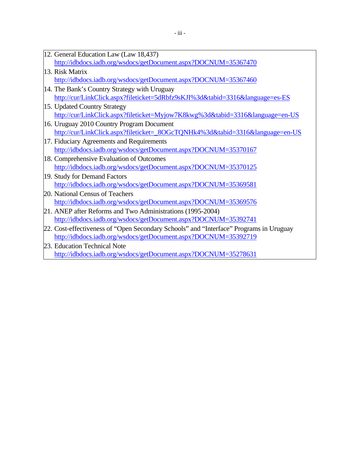| 12. General Education Law (Law 18,437)                          |
|-----------------------------------------------------------------|
| http://idbdocs.iadb.org/wsdocs/getDocument.aspx?DOCNUM=35367470 |

- 13. Risk Matrix <http://idbdocs.iadb.org/wsdocs/getDocument.aspx?DOCNUM=35367460>
- 14. The Bank's Country Strategy with Uruguay <http://cur/LinkClick.aspx?fileticket=5dRbfz9sKJI%3d&tabid=3316&language=es-ES>
- 15. Updated Country Strategy <http://cur/LinkClick.aspx?fileticket=Myjow7K8kwg%3d&tabid=3316&language=en-US>
- 16. Uruguay 2010 Country Program Document [http://cur/LinkClick.aspx?fileticket=\\_8OGcTQNHk4%3d&tabid=3316&language=en-US](http://cur/LinkClick.aspx?fileticket=_8OGcTQNHk4%3d&tabid=3316&language=en-US)
- 17. Fiduciary Agreements and Requirements <http://idbdocs.iadb.org/wsdocs/getDocument.aspx?DOCNUM=35370167>
- 18. Comprehensive Evaluation of Outcomes <http://idbdocs.iadb.org/wsdocs/getDocument.aspx?DOCNUM=35370125>
- 19. Study for Demand Factors <http://idbdocs.iadb.org/wsdocs/getDocument.aspx?DOCNUM=35369581>
- 20. National Census of Teachers <http://idbdocs.iadb.org/wsdocs/getDocument.aspx?DOCNUM=35369576>
- 21. ANEP after Reforms and Two Administrations (1995-2004) <http://idbdocs.iadb.org/wsdocs/getDocument.aspx?DOCNUM=35392741>
- 22. Cost-effectiveness of "Open Secondary Schools" and "Interface" Programs in Uruguay <http://idbdocs.iadb.org/wsdocs/getDocument.aspx?DOCNUM=35392719>
- 23. Education Technical Note <http://idbdocs.iadb.org/wsdocs/getDocument.aspx?DOCNUM=35278631>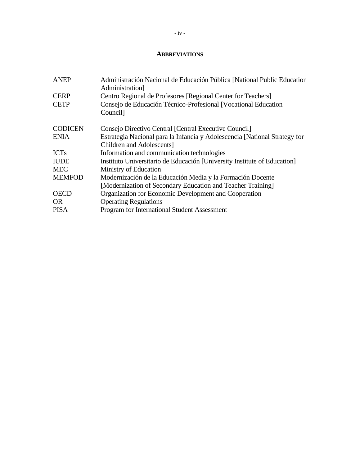#### **ABBREVIATIONS**

| <b>ANEP</b>    | Administración Nacional de Educación Pública [National Public Education<br>Administration] |
|----------------|--------------------------------------------------------------------------------------------|
| <b>CERP</b>    | Centro Regional de Profesores [Regional Center for Teachers]                               |
| <b>CETP</b>    | Consejo de Educación Técnico-Profesional [Vocational Education                             |
|                | Council]                                                                                   |
| <b>CODICEN</b> | Consejo Directivo Central [Central Executive Council]                                      |
| <b>ENIA</b>    | Estrategia Nacional para la Infancia y Adolescencia [National Strategy for                 |
|                | Children and Adolescents]                                                                  |
| <b>ICTs</b>    | Information and communication technologies                                                 |
| <b>IUDE</b>    | Instituto Universitario de Educación [University Institute of Education]                   |
| <b>MEC</b>     | Ministry of Education                                                                      |
| <b>MEMFOD</b>  | Modernización de la Educación Media y la Formación Docente                                 |
|                | [Modernization of Secondary Education and Teacher Training]                                |
| <b>OECD</b>    | Organization for Economic Development and Cooperation                                      |
| OR.            | <b>Operating Regulations</b>                                                               |
| <b>PISA</b>    | <b>Program for International Student Assessment</b>                                        |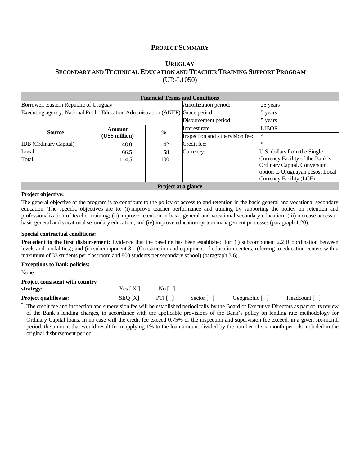#### **PROJECT SUMMARY**

#### **[URUGUAY](#page-0-0) [SECONDARY AND TECHNICAL EDUCATION AND TEACHER TRAINING SUPPORT PROGRAM](#page-0-1) (**[UR-L1050](#page-0-2)**)**

|                                                                                              |                                                  |                     | <b>Financial Terms and Conditions</b>                                                                                      |                                                                                                                                                                                                                                                                                                                                                                                                                                                                                                                                                                                   |
|----------------------------------------------------------------------------------------------|--------------------------------------------------|---------------------|----------------------------------------------------------------------------------------------------------------------------|-----------------------------------------------------------------------------------------------------------------------------------------------------------------------------------------------------------------------------------------------------------------------------------------------------------------------------------------------------------------------------------------------------------------------------------------------------------------------------------------------------------------------------------------------------------------------------------|
| Borrower: Eastern Republic of Uruguay                                                        |                                                  |                     | Amortization period:                                                                                                       | 25 years                                                                                                                                                                                                                                                                                                                                                                                                                                                                                                                                                                          |
| Executing agency: National Public Education Administration (ANEP) Grace period:              |                                                  |                     |                                                                                                                            | 5 years                                                                                                                                                                                                                                                                                                                                                                                                                                                                                                                                                                           |
|                                                                                              |                                                  |                     | Disbursement period:                                                                                                       | 5 years                                                                                                                                                                                                                                                                                                                                                                                                                                                                                                                                                                           |
|                                                                                              | <b>Amount</b>                                    |                     | Interest rate:                                                                                                             | <b>LIBOR</b>                                                                                                                                                                                                                                                                                                                                                                                                                                                                                                                                                                      |
|                                                                                              | $\frac{0}{0}$<br><b>Source</b><br>(US\$ million) |                     | Inspection and supervision fee:                                                                                            | $\ast$                                                                                                                                                                                                                                                                                                                                                                                                                                                                                                                                                                            |
| <b>IDB</b> (Ordinary Capital)                                                                | 48.0                                             | 42                  | Credit fee:                                                                                                                | $\ast$                                                                                                                                                                                                                                                                                                                                                                                                                                                                                                                                                                            |
| Local                                                                                        | 66.5                                             | 58                  | Currency:                                                                                                                  | U.S. dollars from the Single                                                                                                                                                                                                                                                                                                                                                                                                                                                                                                                                                      |
| Total                                                                                        | 100<br>114.5                                     |                     |                                                                                                                            | Currency Facility of the Bank's<br>Ordinary Capital. Conversion<br>option to Uruguayan pesos: Local<br>Currency Facility (LCF)                                                                                                                                                                                                                                                                                                                                                                                                                                                    |
|                                                                                              |                                                  | Project at a glance |                                                                                                                            |                                                                                                                                                                                                                                                                                                                                                                                                                                                                                                                                                                                   |
| <b>Special contractual conditions:</b>                                                       |                                                  |                     | basic general and vocational secondary education; and (iv) improve education system management processes (paragraph 1.20). | The general objective of the program is to contribute to the policy of access to and retention in the basic general and vocational secondary<br>education. The specific objectives are to: (i) improve teacher performance and training by supporting the policy on retention and<br>professionalization of teacher training; (ii) improve retention in basic general and vocational secondary education; (iii) increase access to<br><b>Precedent to the first disbursement:</b> Evidence that the baseline has been established for: (i) subcomponent 2.2 (Coordination between |
| maximum of 33 students per classroom and 800 students per secondary school) (paragraph 3.6). |                                                  |                     |                                                                                                                            | levels and modalities); and (ii) subcomponent 3.1 (Construction and equipment of education centers, referring to education centers with a                                                                                                                                                                                                                                                                                                                                                                                                                                         |
| <b>Exceptions to Bank policies:</b>                                                          |                                                  |                     |                                                                                                                            |                                                                                                                                                                                                                                                                                                                                                                                                                                                                                                                                                                                   |
| None.                                                                                        |                                                  |                     |                                                                                                                            |                                                                                                                                                                                                                                                                                                                                                                                                                                                                                                                                                                                   |
| <b>Project consistent with country</b><br>strategy:                                          | Yes $[X]$                                        | No [ ]              |                                                                                                                            |                                                                                                                                                                                                                                                                                                                                                                                                                                                                                                                                                                                   |
| <b>Project qualifies as:</b>                                                                 | SEQ [X]                                          | PTI $\lceil$        | Sector $\lceil \; \rceil$<br>Geographic []                                                                                 | Headcount []                                                                                                                                                                                                                                                                                                                                                                                                                                                                                                                                                                      |
|                                                                                              |                                                  |                     |                                                                                                                            | The credit fee and inspection and supervision fee will be established periodically by the Board of Executive Directors as part of its review                                                                                                                                                                                                                                                                                                                                                                                                                                      |

of the Bank's lending charges, in accordance with the applicable provisions of the Bank's policy on lending rate methodology for Ordinary Capital loans. In no case will the credit fee exceed 0.75% or the inspection and supervision fee exceed, in a given six-month period, the amount that would result from applying 1% to the loan amount divided by the number of six-month periods included in the original disbursement period.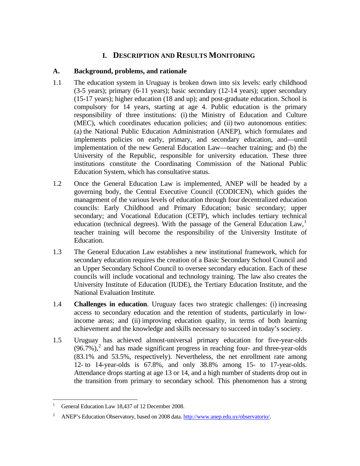## **I. DESCRIPTION AND RESULTS MONITORING**

#### <span id="page-6-0"></span>**A. Background, problems, and rationale**

- 1.1 The education system in Uruguay is broken down into six levels: early childhood (3-5 years); primary (6-11 years); basic secondary (12-14 years); upper secondary (15-17 years); higher education (18 and up); and post-graduate education. School is compulsory for 14 years, starting at age 4. Public education is the primary responsibility of three institutions: (i) the Ministry of Education and Culture (MEC), which coordinates education policies; and (ii) two autonomous entities: (a) the National Public Education Administration (ANEP), which formulates and implements policies on early, primary, and secondary education, and—until implementation of the new General Education Law—teacher training; and (b) the University of the Republic, responsible for university education. These three institutions constitute the Coordinating Commission of the National Public Education System, which has consultative status.
- 1.2 Once the General Education Law is implemented, ANEP will be headed by a governing body, the Central Executive Council (CODICEN), which guides the management of the various levels of education through four decentralized education councils: Early Childhood and Primary Education; basic secondary; upper secondary; and Vocational Education (CETP), which includes tertiary technical education (technical degrees). With the passage of the General Education  $Law<sub>1</sub><sup>1</sup>$  $Law<sub>1</sub><sup>1</sup>$  $Law<sub>1</sub><sup>1</sup>$ teacher training will become the responsibility of the University Institute of Education.
- 1.3 The General Education Law establishes a new institutional framework, which for secondary education requires the creation of a Basic Secondary School Council and an Upper Secondary School Council to oversee secondary education. Each of these councils will include vocational and technology training. The law also creates the University Institute of Education (IUDE), the Tertiary Education Institute, and the National Evaluation Institute.
- 1.4 **Challenges in education**. Uruguay faces two strategic challenges: (i) increasing access to secondary education and the retention of students, particularly in lowincome areas; and (ii) improving education quality, in terms of both learning achievement and the knowledge and skills necessary to succeed in today's society.
- 1.5 Uruguay has achieved almost-universal primary education for five-year-olds  $(96.7\%)$ ,<sup>[2](#page-6-2)</sup> and has made significant progress in reaching four- and three-year-olds (83.1% and 53.5%, respectively). Nevertheless, the net enrollment rate among 12- to 14-year-olds is 67.8%, and only 38.8% among 15- to 17-year-olds. Attendance drops starting at age 13 or 14, and a high number of students drop out in the transition from primary to secondary school. This phenomenon has a strong

 $\overline{a}$ 

<span id="page-6-1"></span><sup>1</sup> General Education Law 18,437 of 12 December 2008.

<span id="page-6-2"></span><sup>2</sup> ANEP's Education Observatory, based on 2008 data. [http://www.anep.edu.uy/observatorio/.](http://www.anep.edu.uy/observatorio/)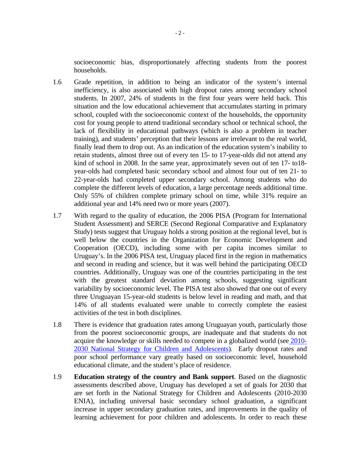socioeconomic bias, disproportionately affecting students from the poorest households.

- 1.6 Grade repetition, in addition to being an indicator of the system's internal inefficiency, is also associated with high dropout rates among secondary school students. In 2007, 24% of students in the first four years were held back. This situation and the low educational achievement that accumulates starting in primary school, coupled with the socioeconomic context of the households, the opportunity cost for young people to attend traditional secondary school or technical school, the lack of flexibility in educational pathways (which is also a problem in teacher training), and students' perception that their lessons are irrelevant to the real world, finally lead them to drop out. As an indication of the education system's inability to retain students, almost three out of every ten 15- to 17-year-olds did not attend any kind of school in 2008. In the same year, approximately seven out of ten 17- to18 year-olds had completed basic secondary school and almost four out of ten 21- to 22-year-olds had completed upper secondary school. Among students who do complete the different levels of education, a large percentage needs additional time. Only 55% of children complete primary school on time, while 31% require an additional year and 14% need two or more years (2007).
- 1.7 With regard to the quality of education, the 2006 PISA (Program for International Student Assessment) and SERCE (Second Regional Comparative and Explanatory Study) tests suggest that Uruguay holds a strong position at the regional level, but is well below the countries in the Organization for Economic Development and Cooperation (OECD), including some with per capita incomes similar to Uruguay's. In the 2006 PISA test, Uruguay placed first in the region in mathematics and second in reading and science, but it was well behind the participating OECD countries. Additionally, Uruguay was one of the countries participating in the test with the greatest standard deviation among schools, suggesting significant variability by socioeconomic level. The PISA test also showed that one out of every three Uruguayan 15-year-old students is below level in reading and math, and that 14% of all students evaluated were unable to correctly complete the easiest activities of the test in both disciplines.
- 1.8 There is evidence that graduation rates among Uruguayan youth, particularly those from the poorest socioeconomic groups, are inadequate and that students do not acquire the knowledge or skills needed to compete in a globalized world (se[e 2010-](http://idbdocs.iadb.org/wsdocs/getDocument.aspx?DOCNUM=35282588) [2030 National Strategy for Children and Adolescents\)](http://idbdocs.iadb.org/wsdocs/getDocument.aspx?DOCNUM=35282588). Early dropout rates and poor school performance vary greatly based on socioeconomic level, household educational climate, and the student's place of residence.
- 1.9 **Education strategy of the country and Bank support**. Based on the diagnostic assessments described above, Uruguay has developed a set of goals for 2030 that are set forth in the National Strategy for Children and Adolescents (2010-2030 ENIA), including universal basic secondary school graduation, a significant increase in upper secondary graduation rates, and improvements in the quality of learning achievement for poor children and adolescents. In order to reach these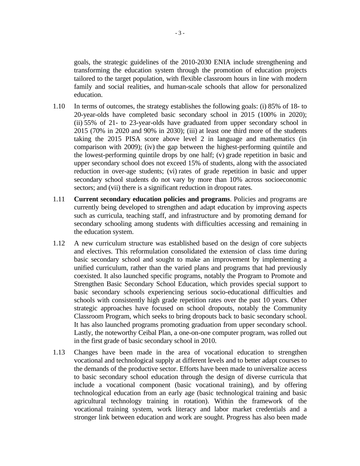goals, the strategic guidelines of the 2010-2030 ENIA include strengthening and transforming the education system through the promotion of education projects tailored to the target population, with flexible classroom hours in line with modern family and social realities, and human-scale schools that allow for personalized education.

- 1.10 In terms of outcomes, the strategy establishes the following goals: (i) 85% of 18- to 20-year-olds have completed basic secondary school in 2015 (100% in 2020); (ii) 55% of 21- to 23-year-olds have graduated from upper secondary school in 2015 (70% in 2020 and 90% in 2030); (iii) at least one third more of the students taking the 2015 PISA score above level 2 in language and mathematics (in comparison with 2009); (iv) the gap between the highest-performing quintile and the lowest-performing quintile drops by one half; (v) grade repetition in basic and upper secondary school does not exceed 15% of students, along with the associated reduction in over-age students; (vi) rates of grade repetition in basic and upper secondary school students do not vary by more than 10% across socioeconomic sectors; and (vii) there is a significant reduction in dropout rates.
- 1.11 **Current secondary education policies and programs**. Policies and programs are currently being developed to strengthen and adapt education by improving aspects such as curricula, teaching staff, and infrastructure and by promoting demand for secondary schooling among students with difficulties accessing and remaining in the education system.
- 1.12 A new curriculum structure was established based on the design of core subjects and electives. This reformulation consolidated the extension of class time during basic secondary school and sought to make an improvement by implementing a unified curriculum, rather than the varied plans and programs that had previously coexisted. It also launched specific programs, notably the Program to Promote and Strengthen Basic Secondary School Education, which provides special support to basic secondary schools experiencing serious socio-educational difficulties and schools with consistently high grade repetition rates over the past 10 years. Other strategic approaches have focused on school dropouts, notably the Community Classroom Program, which seeks to bring dropouts back to basic secondary school. It has also launched programs promoting graduation from upper secondary school. Lastly, the noteworthy Ceibal Plan, a one-on-one computer program, was rolled out in the first grade of basic secondary school in 2010.
- 1.13 Changes have been made in the area of vocational education to strengthen vocational and technological supply at different levels and to better adapt courses to the demands of the productive sector. Efforts have been made to universalize access to basic secondary school education through the design of diverse curricula that include a vocational component (basic vocational training), and by offering technological education from an early age (basic technological training and basic agricultural technology training in rotation). Within the framework of the vocational training system, work literacy and labor market credentials and a stronger link between education and work are sought. Progress has also been made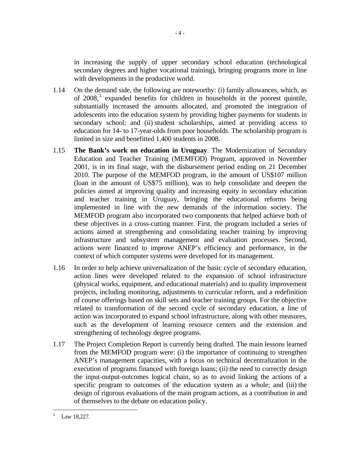in increasing the supply of upper secondary school education (technological secondary degrees and higher vocational training), bringing programs more in line with developments in the productive world.

- 1.14 On the demand side, the following are noteworthy: (i) family allowances, which, as of  $2008$ ,<sup>[3](#page-9-0)</sup> expanded benefits for children in households in the poorest quintile, substantially increased the amounts allocated, and promoted the integration of adolescents into the education system by providing higher payments for students in secondary school; and (ii) student scholarships, aimed at providing access to education for 14- to 17-year-olds from poor households. The scholarship program is limited in size and benefitted 1,400 students in 2008.
- 1.15 **The Bank's work on education in Uruguay**. The Modernization of Secondary Education and Teacher Training (MEMFOD) Program, approved in November 2001, is in its final stage, with the disbursement period ending on 21 December 2010. The purpose of the MEMFOD program, in the amount of US\$107 million (loan in the amount of US\$75 million), was to help consolidate and deepen the policies aimed at improving quality and increasing equity in secondary education and teacher training in Uruguay, bringing the educational reforms being implemented in line with the new demands of the information society. The MEMFOD program also incorporated two components that helped achieve both of these objectives in a cross-cutting manner. First, the program included a series of actions aimed at strengthening and consolidating teacher training by improving infrastructure and subsystem management and evaluation processes. Second, actions were financed to improve ANEP's efficiency and performance, in the context of which computer systems were developed for its management.
- 1.16 In order to help achieve universalization of the basic cycle of secondary education, action lines were developed related to the expansion of school infrastructure (physical works, equipment, and educational materials) and to quality improvement projects, including monitoring, adjustments to curricular reform, and a redefinition of course offerings based on skill sets and teacher training groups. For the objective related to transformation of the second cycle of secondary education, a line of action was incorporated to expand school infrastructure, along with other measures, such as the development of learning resource centers and the extension and strengthening of technology degree programs.
- 1.17 The Project Completion Report is currently being drafted. The main lessons learned from the MEMFOD program were: (i) the importance of continuing to strengthen ANEP's management capacities, with a focus on technical decentralization in the execution of programs financed with foreign loans; (ii) the need to correctly design the input-output-outcomes logical chain, so as to avoid linking the actions of a specific program to outcomes of the education system as a whole; and (iii) the design of rigorous evaluations of the main program actions, as a contribution in and of themselves to the debate on education policy.

 $-4-$ 

<span id="page-9-0"></span> $\frac{1}{3}$ Law 18,227.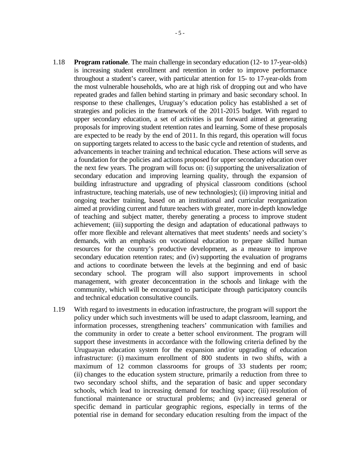- 1.18 **Program rationale**. The main challenge in secondary education (12- to 17-year-olds) is increasing student enrollment and retention in order to improve performance throughout a student's career, with particular attention for 15- to 17-year-olds from the most vulnerable households, who are at high risk of dropping out and who have repeated grades and fallen behind starting in primary and basic secondary school. In response to these challenges, Uruguay's education policy has established a set of strategies and policies in the framework of the 2011-2015 budget. With regard to upper secondary education, a set of activities is put forward aimed at generating proposals for improving student retention rates and learning. Some of these proposals are expected to be ready by the end of 2011. In this regard, this operation will focus on supporting targets related to access to the basic cycle and retention of students, and advancements in teacher training and technical education. These actions will serve as a foundation for the policies and actions proposed for upper secondary education over the next few years. The program will focus on: (i) supporting the universalization of secondary education and improving learning quality, through the expansion of building infrastructure and upgrading of physical classroom conditions (school infrastructure, teaching materials, use of new technologies); (ii) improving initial and ongoing teacher training, based on an institutional and curricular reorganization aimed at providing current and future teachers with greater, more in-depth knowledge of teaching and subject matter, thereby generating a process to improve student achievement; (iii) supporting the design and adaptation of educational pathways to offer more flexible and relevant alternatives that meet students' needs and society's demands, with an emphasis on vocational education to prepare skilled human resources for the country's productive development, as a measure to improve secondary education retention rates; and (iv) supporting the evaluation of programs and actions to coordinate between the levels at the beginning and end of basic secondary school. The program will also support improvements in school management, with greater deconcentration in the schools and linkage with the community, which will be encouraged to participate through participatory councils and technical education consultative councils.
- 1.19 With regard to investments in education infrastructure, the program will support the policy under which such investments will be used to adapt classroom, learning, and information processes, strengthening teachers' communication with families and the community in order to create a better school environment. The program will support these investments in accordance with the following criteria defined by the Uruguayan education system for the expansion and/or upgrading of education infrastructure: (i) maximum enrollment of 800 students in two shifts, with a maximum of 12 common classrooms for groups of 33 students per room; (ii) changes to the education system structure, primarily a reduction from three to two secondary school shifts, and the separation of basic and upper secondary schools, which lead to increasing demand for teaching space; (iii) resolution of functional maintenance or structural problems; and (iv) increased general or specific demand in particular geographic regions, especially in terms of the potential rise in demand for secondary education resulting from the impact of the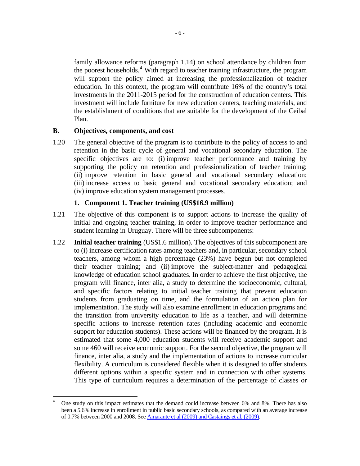<span id="page-11-0"></span>family allowance reforms (paragraph 1.14) on school attendance by children from the poorest households.<sup>4</sup> With regard to teacher training infrastructure, the program will support the policy aimed at increasing the professionalization of teacher education. In this context, the program will contribute 16% of the country's total investments in the 2011-2015 period for the construction of education centers. This investment will include furniture for new education centers, teaching materials, and the establishment of conditions that are suitable for the development of the Ceibal Plan.

#### **B. Objectives, components, and cost**

1.20 The general objective of the program is to contribute to the policy of access to and retention in the basic cycle of general and vocational secondary education. The specific objectives are to: (i) improve teacher performance and training by supporting the policy on retention and professionalization of teacher training; (ii) improve retention in basic general and vocational secondary education; (iii) increase access to basic general and vocational secondary education; and (iv) improve education system management processes.

#### **1. Component 1. Teacher training (US\$16.9 million)**

- 1.21 The objective of this component is to support actions to increase the quality of initial and ongoing teacher training, in order to improve teacher performance and student learning in Uruguay. There will be three subcomponents:
- <span id="page-11-1"></span>1.22 **Initial teacher training** (US\$1.6 million). The objectives of this subcomponent are to (i) increase certification rates among teachers and, in particular, secondary school teachers, among whom a high percentage (23%) have begun but not completed their teacher training; and (ii) improve the subject-matter and pedagogical knowledge of education school graduates. In order to achieve the first objective, the program will finance, inter alia, a study to determine the socioeconomic, cultural, and specific factors relating to initial teacher training that prevent education students from graduating on time, and the formulation of an action plan for implementation. The study will also examine enrollment in education programs and the transition from university education to life as a teacher, and will determine specific actions to increase retention rates (including academic and economic support for education students). These actions will be financed by the program. It is estimated that some 4,000 education students will receive academic support and some 460 will receive economic support. For the second objective, the program will finance, inter alia, a study and the implementation of actions to increase curricular flexibility. A curriculum is considered flexible when it is designed to offer students different options within a specific system and in connection with other systems. This type of curriculum requires a determination of the percentage of classes or

 $\overline{a}$ 4 One study on this impact estimates that the demand could increase between 6% and 8%. There has also been a 5.6% increase in enrollment in public basic secondary schools, as compared with an average increase of 0.7% between 2000 and 2008. See [Amarante et al \(2009\) and Castaings et al. \(2009\).](http://idbdocs.iadb.org/wsdocs/getDocument.aspx?DOCNUM=35367474)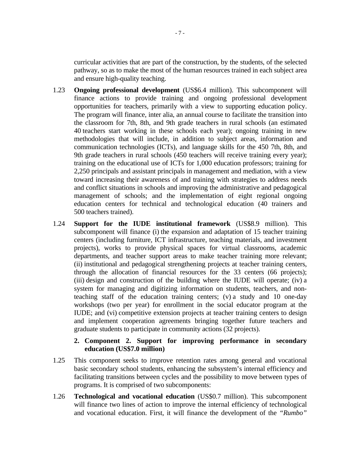<span id="page-12-0"></span>curricular activities that are part of the construction, by the students, of the selected pathway, so as to make the most of the human resources trained in each subject area and ensure high-quality teaching.

- 1.23 **Ongoing professional development** (US\$6.4 million). This subcomponent will finance actions to provide training and ongoing professional development opportunities for teachers, primarily with a view to supporting education policy. The program will finance, inter alia, an annual course to facilitate the transition into the classroom for 7th, 8th, and 9th grade teachers in rural schools (an estimated 40 teachers start working in these schools each year); ongoing training in new methodologies that will include, in addition to subject areas, information and communication technologies (ICTs), and language skills for the 450 7th, 8th, and 9th grade teachers in rural schools (450 teachers will receive training every year); training on the educational use of ICTs for 1,000 education professors; training for 2,250 principals and assistant principals in management and mediation, with a view toward increasing their awareness of and training with strategies to address needs and conflict situations in schools and improving the administrative and pedagogical management of schools; and the implementation of eight regional ongoing education centers for technical and technological education (40 trainers and 500 teachers trained).
- 1.24 **Support for the IUDE institutional framework** (US\$8.9 million). This subcomponent will finance (i) the expansion and adaptation of 15 teacher training centers (including furniture, ICT infrastructure, teaching materials, and investment projects), works to provide physical spaces for virtual classrooms, academic departments, and teacher support areas to make teacher training more relevant; (ii) institutional and pedagogical strengthening projects at teacher training centers, through the allocation of financial resources for the 33 centers (66 projects); (iii) design and construction of the building where the IUDE will operate; (iv) a system for managing and digitizing information on students, teachers, and nonteaching staff of the education training centers; (v) a study and 10 one-day workshops (two per year) for enrollment in the social educator program at the IUDE; and (vi) competitive extension projects at teacher training centers to design and implement cooperation agreements bringing together future teachers and graduate students to participate in community actions (32 projects).

#### **2. Component 2. Support for improving performance in secondary education (US\$7.0 million)**

- 1.25 This component seeks to improve retention rates among general and vocational basic secondary school students, enhancing the subsystem's internal efficiency and facilitating transitions between cycles and the possibility to move between types of programs. It is comprised of two subcomponents:
- 1.26 **Technological and vocational education** (US\$0.7 million). This subcomponent will finance two lines of action to improve the internal efficiency of technological and vocational education. First, it will finance the development of the *"Rumbo"*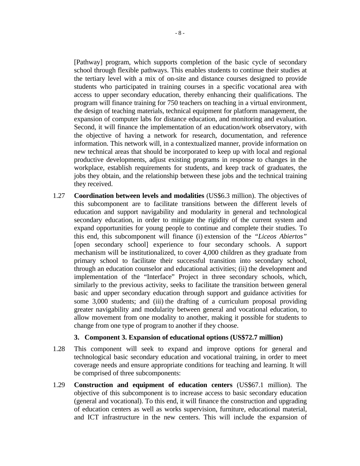<span id="page-13-0"></span>[Pathway] program, which supports completion of the basic cycle of secondary school through flexible pathways. This enables students to continue their studies at the tertiary level with a mix of on-site and distance courses designed to provide students who participated in training courses in a specific vocational area with access to upper secondary education, thereby enhancing their qualifications. The program will finance training for 750 teachers on teaching in a virtual environment, the design of teaching materials, technical equipment for platform management, the expansion of computer labs for distance education, and monitoring and evaluation. Second, it will finance the implementation of an education/work observatory, with the objective of having a network for research, documentation, and reference information. This network will, in a contextualized manner, provide information on new technical areas that should be incorporated to keep up with local and regional productive developments, adjust existing programs in response to changes in the workplace, establish requirements for students, and keep track of graduates, the jobs they obtain, and the relationship between these jobs and the technical training they received.

1.27 **Coordination between levels and modalities** (US\$6.3 million). The objectives of this subcomponent are to facilitate transitions between the different levels of education and support navigability and modularity in general and technological secondary education, in order to mitigate the rigidity of the current system and expand opportunities for young people to continue and complete their studies. To this end, this subcomponent will finance (i) extension of the *"Liceos Abiertos"*  [open secondary school] experience to four secondary schools. A support mechanism will be institutionalized, to cover 4,000 children as they graduate from primary school to facilitate their successful transition into secondary school, through an education counselor and educational activities; (ii) the development and implementation of the "Interface" Project in three secondary schools, which, similarly to the previous activity, seeks to facilitate the transition between general basic and upper secondary education through support and guidance activities for some 3,000 students; and (iii) the drafting of a curriculum proposal providing greater navigability and modularity between general and vocational education, to allow movement from one modality to another, making it possible for students to change from one type of program to another if they choose.

#### **3. Component 3. Expansion of educational options (US\$72.7 million)**

- 1.28 This component will seek to expand and improve options for general and technological basic secondary education and vocational training, in order to meet coverage needs and ensure appropriate conditions for teaching and learning. It will be comprised of three subcomponents:
- 1.29 **Construction and equipment of education centers** (US\$67.1 million). The objective of this subcomponent is to increase access to basic secondary education (general and vocational). To this end, it will finance the construction and upgrading of education centers as well as works supervision, furniture, educational material, and ICT infrastructure in the new centers. This will include the expansion of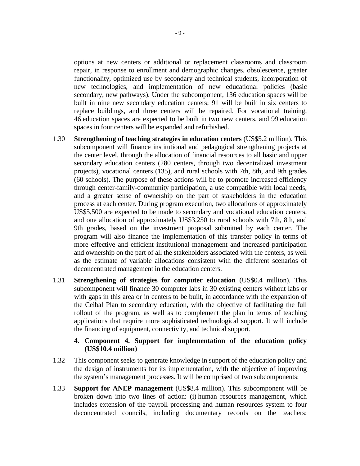<span id="page-14-0"></span>options at new centers or additional or replacement classrooms and classroom repair, in response to enrollment and demographic changes, obsolescence, greater functionality, optimized use by secondary and technical students, incorporation of new technologies, and implementation of new educational policies (basic secondary, new pathways). Under the subcomponent, 136 education spaces will be built in nine new secondary education centers; 91 will be built in six centers to replace buildings, and three centers will be repaired. For vocational training, 46 education spaces are expected to be built in two new centers, and 99 education spaces in four centers will be expanded and refurbished.

- 1.30 **Strengthening of teaching strategies in education centers** (US\$5.2 million). This subcomponent will finance institutional and pedagogical strengthening projects at the center level, through the allocation of financial resources to all basic and upper secondary education centers (280 centers, through two decentralized investment projects), vocational centers (135), and rural schools with 7th, 8th, and 9th grades (60 schools). The purpose of these actions will be to promote increased efficiency through center-family-community participation, a use compatible with local needs, and a greater sense of ownership on the part of stakeholders in the education process at each center. During program execution, two allocations of approximately US\$5,500 are expected to be made to secondary and vocational education centers, and one allocation of approximately US\$3,250 to rural schools with 7th, 8th, and 9th grades, based on the investment proposal submitted by each center. The program will also finance the implementation of this transfer policy in terms of more effective and efficient institutional management and increased participation and ownership on the part of all the stakeholders associated with the centers, as well as the estimate of variable allocations consistent with the different scenarios of deconcentrated management in the education centers.
- 1.31 **Strengthening of strategies for computer education** (US\$0.4 million). This subcomponent will finance 30 computer labs in 30 existing centers without labs or with gaps in this area or in centers to be built, in accordance with the expansion of the Ceibal Plan to secondary education, with the objective of facilitating the full rollout of the program, as well as to complement the plan in terms of teaching applications that require more sophisticated technological support. It will include the financing of equipment, connectivity, and technical support.

#### **4. Component 4. Support for implementation of the education policy (US\$10.4 million)**

- 1.32 This component seeks to generate knowledge in support of the education policy and the design of instruments for its implementation, with the objective of improving the system's management processes. It will be comprised of two subcomponents:
- 1.33 **Support for ANEP management** (US\$8.4 million). This subcomponent will be broken down into two lines of action: (i) human resources management, which includes extension of the payroll processing and human resources system to four deconcentrated councils, including documentary records on the teachers;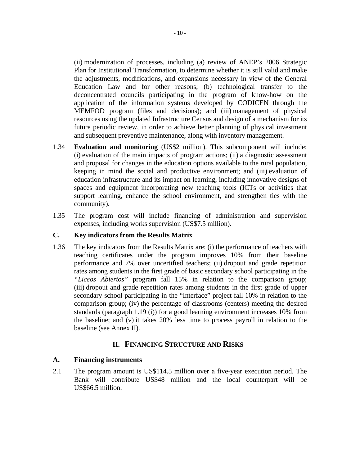<span id="page-15-0"></span>(ii) modernization of processes, including (a) review of ANEP's 2006 Strategic Plan for Institutional Transformation, to determine whether it is still valid and make the adjustments, modifications, and expansions necessary in view of the General Education Law and for other reasons; (b) technological transfer to the deconcentrated councils participating in the program of know-how on the application of the information systems developed by CODICEN through the MEMFOD program (files and decisions); and (iii) management of physical resources using the updated Infrastructure Census and design of a mechanism for its future periodic review, in order to achieve better planning of physical investment and subsequent preventive maintenance, along with inventory management.

- 1.34 **Evaluation and monitoring** (US\$2 million). This subcomponent will include: (i) evaluation of the main impacts of program actions; (ii) a diagnostic assessment and proposal for changes in the education options available to the rural population, keeping in mind the social and productive environment; and (iii) evaluation of education infrastructure and its impact on learning, including innovative designs of spaces and equipment incorporating new teaching tools (ICTs or activities that support learning, enhance the school environment, and strengthen ties with the community).
- 1.35 The program cost will include financing of administration and supervision expenses, including works supervision (US\$7.5 million).

#### **C. Key indicators from the Results Matrix**

1.36 The key indicators from the Results Matrix are: (i) the performance of teachers with teaching certificates under the program improves 10% from their baseline performance and 7% over uncertified teachers; (ii) dropout and grade repetition rates among students in the first grade of basic secondary school participating in the *"Liceos Abiertos"* program fall 15% in relation to the comparison group; (iii) dropout and grade repetition rates among students in the first grade of upper secondary school participating in the "Interface" project fall 10% in relation to the comparison group; (iv) the percentage of classrooms (centers) meeting the desired standards (paragraph [1.19](#page-11-1) (i)) for a good learning environment increases 10% from the baseline; and (v) it takes 20% less time to process payroll in relation to the baseline (see Annex II).

## **II. FINANCING STRUCTURE AND RISKS**

#### **A. Financing instruments**

2.1 The program amount is US\$114.5 million over a five-year execution period. The Bank will contribute US\$48 million and the local counterpart will be US\$66.5 million.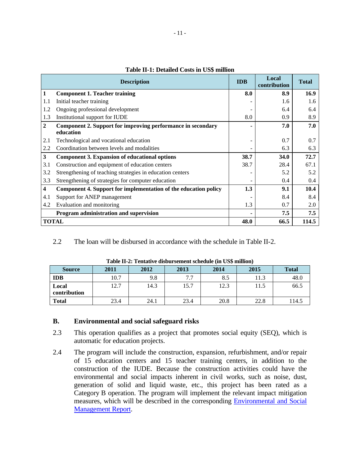<span id="page-16-0"></span>

|                         | <b>Description</b>                                                       | <b>IDB</b> | Local<br>contribution | <b>Total</b> |
|-------------------------|--------------------------------------------------------------------------|------------|-----------------------|--------------|
| $\mathbf{1}$            | <b>Component 1. Teacher training</b>                                     | 8.0        | 8.9                   | 16.9         |
| 1.1                     | Initial teacher training                                                 |            | 1.6                   | 1.6          |
| 1.2                     | Ongoing professional development                                         |            | 6.4                   | 6.4          |
| 1.3                     | Institutional support for IUDE                                           | 8.0        | 0.9                   | 8.9          |
| $\mathbf{2}$            | Component 2. Support for improving performance in secondary<br>education |            | 7.0                   | 7.0          |
| 2.1                     | Technological and vocational education                                   |            | 0.7                   | 0.7          |
| 2.2                     | Coordination between levels and modalities                               |            | 6.3                   | 6.3          |
| $\overline{\mathbf{3}}$ | <b>Component 3. Expansion of educational options</b>                     | 38.7       | 34.0                  | 72.7         |
| 3.1                     | Construction and equipment of education centers                          | 38.7       | 28.4                  | 67.1         |
| 3.2                     | Strengthening of teaching strategies in education centers                |            | 5.2                   | 5.2          |
| 3.3                     | Strengthening of strategies for computer education                       |            | 0.4                   | 0.4          |
| $\overline{\mathbf{4}}$ | Component 4. Support for implementation of the education policy          | 1.3        | 9.1                   | 10.4         |
| 4.1                     | Support for ANEP management                                              |            | 8.4                   | 8.4          |
| 4.2                     | Evaluation and monitoring                                                | 1.3        | 0.7                   | 2.0          |
|                         | Program administration and supervision                                   |            | 7.5                   | 7.5          |
|                         | <b>TOTAL</b>                                                             | 48.0       | 66.5                  | 114.5        |

#### **Table II-1: Detailed Costs in US\$ million**

2.2 The loan will be disbursed in accordance with the schedule in Table II-2.

| $-$ 000 $-$ 0 $-$ 000 $-$ 000 $-$ 000 $-$ 000 $-$ 000 $-$ 000 $-$ 000 $-$ 000 $-$ 000 $-$ 000 $-$ 000 $-$ 000 $-$ 000 $-$ 000 $-$ 000 $-$ 000 $-$ 000 $-$ 000 $-$ 000 $-$ 000 $-$ 000 $-$ 000 $-$ 000 $-$ 000 $-$ 000 $-$ 000 |      |      |      |      |      |              |  |  |  |  |  |
|-------------------------------------------------------------------------------------------------------------------------------------------------------------------------------------------------------------------------------|------|------|------|------|------|--------------|--|--|--|--|--|
| <b>Source</b>                                                                                                                                                                                                                 | 2011 | 2012 | 2013 | 2014 | 2015 | <b>Total</b> |  |  |  |  |  |
| <b>IDB</b>                                                                                                                                                                                                                    | 10.7 | 9.8  | 7.7  | 8.5  | 11.3 | 48.0         |  |  |  |  |  |
| Local                                                                                                                                                                                                                         | 12.7 | 14.3 | 15.7 | 12.3 | 11.5 | 66.5         |  |  |  |  |  |
| contribution                                                                                                                                                                                                                  |      |      |      |      |      |              |  |  |  |  |  |
| <b>Total</b>                                                                                                                                                                                                                  | 23.4 | 24.1 | 23.4 | 20.8 | 22.8 | 114.5        |  |  |  |  |  |

|  |  | Table II-2: Tentative disbursement schedule (in US\$ million) |  |  |  |
|--|--|---------------------------------------------------------------|--|--|--|
|--|--|---------------------------------------------------------------|--|--|--|

#### **B. Environmental and social safeguard risks**

- 2.3 This operation qualifies as a project that promotes social equity (SEQ), which is automatic for education projects.
- 2.4 The program will include the construction, expansion, refurbishment, and/or repair of 15 education centers and 15 teacher training centers, in addition to the construction of the IUDE. Because the construction activities could have the environmental and social impacts inherent in civil works, such as noise, dust, generation of solid and liquid waste, etc., this project has been rated as a Category B operation. The program will implement the relevant impact mitigation measures, which will be described in the corresponding [Environmental and Social](http://idbdocs.iadb.org/wsdocs/getDocument.aspx?DOCNUM=35368520)  [Management Report.](http://idbdocs.iadb.org/wsdocs/getDocument.aspx?DOCNUM=35368520)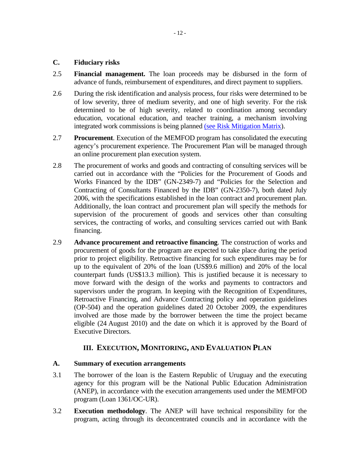#### <span id="page-17-0"></span>**C. Fiduciary risks**

- 2.5 **Financial management.** The loan proceeds may be disbursed in the form of advance of funds, reimbursement of expenditures, and direct payment to suppliers.
- 2.6 During the risk identification and analysis process, four risks were determined to be of low severity, three of medium severity, and one of high severity. [For the risk](http://idbdocs.iadb.org/wsdocs/getDocument.aspx?DOCNUM=35367460)  [determined to be of high severity, related to coordination among secondary](http://idbdocs.iadb.org/wsdocs/getDocument.aspx?DOCNUM=35367460)  [education, vocational education, and teacher training, a mechanism involving](http://idbdocs.iadb.org/wsdocs/getDocument.aspx?DOCNUM=35367460)  [integrated work commissions is being planned \(see Risk Mitigation Matrix](http://idbdocs.iadb.org/wsdocs/getDocument.aspx?DOCNUM=35367460)).
- 2.7 **Procurement**. Execution of the MEMFOD program has consolidated the executing agency's procurement experience. The Procurement Plan will be managed through an online procurement plan execution system.
- 2.8 The procurement of works and goods and contracting of consulting services will be carried out in accordance with the "Policies for the Procurement of Goods and Works Financed by the IDB" (GN-2349-7) and "Policies for the Selection and Contracting of Consultants Financed by the IDB" (GN-2350-7), both dated July 2006, with the specifications established in the loan contract and procurement plan. Additionally, the loan contract and procurement plan will specify the methods for supervision of the procurement of goods and services other than consulting services, the contracting of works, and consulting services carried out with Bank financing.
- 2.9 **Advance procurement and retroactive financing**. The construction of works and procurement of goods for the program are expected to take place during the period prior to project eligibility. Retroactive financing for such expenditures may be for up to the equivalent of 20% of the loan (US\$9.6 million) and 20% of the local counterpart funds (US\$13.3 million). This is justified because it is necessary to move forward with the design of the works and payments to contractors and supervisors under the program. In keeping with the Recognition of Expenditures, Retroactive Financing, and Advance Contracting policy and operation guidelines (OP-504) and the operation guidelines dated 20 October 2009, the expenditures involved are those made by the borrower between the time the project became eligible (24 August 2010) and the date on which it is approved by the Board of Executive Directors.

## **III. EXECUTION, MONITORING, AND EVALUATION PLAN**

#### **A. Summary of execution arrangements**

- 3.1 The borrower of the loan is the Eastern Republic of Uruguay and the executing agency for this program will be the National Public Education Administration (ANEP), in accordance with the execution arrangements used under the MEMFOD program (Loan 1361/OC-UR).
- 3.2 **Execution methodology**. The ANEP will have technical responsibility for the program, acting through its deconcentrated councils and in accordance with the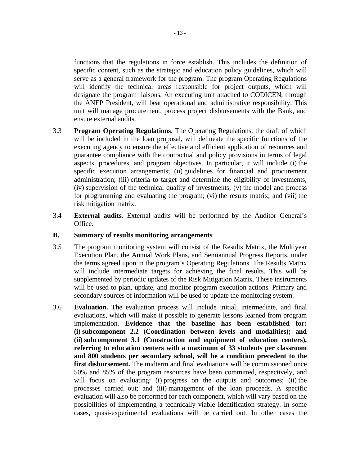<span id="page-18-0"></span>functions that the regulations in force establish. This includes the definition of specific content, such as the strategic and education policy guidelines, which will serve as a general framework for the program. The program Operating Regulations will identify the technical areas responsible for project outputs, which will designate the program liaisons. An executing unit attached to CODICEN, through the ANEP President, will bear operational and administrative responsibility. This unit will manage procurement, process project disbursements with the Bank, and ensure external audits.

- 3.3 **Program Operating Regulations**. The Operating Regulations, the draft of which will be included in the loan proposal, will delineate the specific functions of the executing agency to ensure the effective and efficient application of resources and guarantee compliance with the contractual and policy provisions in terms of legal aspects, procedures, and program objectives. In particular, it will include (i) the specific execution arrangements; (ii) guidelines for financial and procurement administration; (iii) criteria to target and determine the eligibility of investments; (iv) supervision of the technical quality of investments; (v) the model and process for programming and evaluating the program; (vi) the results matrix; and (vii) the risk mitigation matrix.
- 3.4 **External audits**. External audits will be performed by the Auditor General's Office.

#### **B. Summary of results monitoring arrangements**

- 3.5 The program monitoring system will consist of the Results Matrix, the Multiyear Execution Plan, the Annual Work Plans, and Semiannual Progress Reports, under the terms agreed upon in the program's Operating Regulations. The Results Matrix will include intermediate targets for achieving the final results. This will be supplemented by periodic updates of the Risk Mitigation Matrix. These instruments will be used to plan, update, and monitor program execution actions. Primary and secondary sources of information will be used to update the monitoring system.
- 3.6 **Evaluation.** The evaluation process will include initial, intermediate, and final evaluations, which will make it possible to generate lessons learned from program implementation. **Evidence that the baseline has been established for: (i) subcomponent 2.2 (Coordination between levels and modalities); and (ii) subcomponent 3.1 (Construction and equipment of education centers), referring to education centers with a maximum of 33 students per classroom and 800 students per secondary school, will be a condition precedent to the first disbursement.** The midterm and final evaluations will be commissioned once 50% and 85% of the program resources have been committed, respectively, and will focus on evaluating: (i) progress on the outputs and outcomes; (ii) the processes carried out; and (iii) management of the loan proceeds. A specific evaluation will also be performed for each component, which will vary based on the possibilities of implementing a technically viable identification strategy. [In some](http://idbdocs.iadb.org/wsdocs/getDocument.aspx?DOCNUM=35369562)  [cases, quasi-experimental evaluations will be carried out. In other cases the](http://idbdocs.iadb.org/wsdocs/getDocument.aspx?DOCNUM=35369562)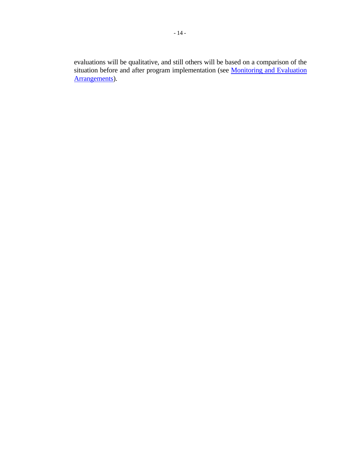[evaluations will be qualitative, and still others will be based on a comparison of the](http://idbdocs.iadb.org/wsdocs/getDocument.aspx?DOCNUM=35369562)  situation before and after program implementation (see **Monitoring and Evaluation** [Arrangements\)](http://idbdocs.iadb.org/wsdocs/getDocument.aspx?DOCNUM=35369562).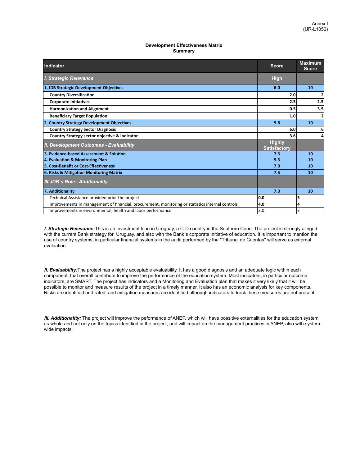#### **Development Effectiveness Matrix Summary**

| Indicator                                                                                        | <b>Score</b>                         | <b>Maximum</b><br><b>Score</b> |
|--------------------------------------------------------------------------------------------------|--------------------------------------|--------------------------------|
| <b>I. Strategic Relevance</b>                                                                    | <b>High</b>                          |                                |
| 1. IDB Strategic Development Objectives                                                          | 6.0                                  | 10                             |
| <b>Country Diversification</b>                                                                   | 2.0                                  | 2                              |
| <b>Corporate Initiatives</b>                                                                     | 2.5                                  | 2.5                            |
| <b>Harmonization and Alignment</b>                                                               | 0.5                                  | 3.5                            |
| <b>Beneficiary Target Population</b>                                                             | 1.0                                  | 2                              |
| 2. Country Strategy Development Objectives                                                       | 9.6                                  | 10                             |
| <b>Country Strategy Sector Diagnosis</b>                                                         | 6.0                                  | 6                              |
| Country Strategy sector objective & indicator                                                    | 3.6                                  | 4                              |
| <b>II. Development Outcomes - Evaluability</b>                                                   | <b>Highly</b><br><b>Satisfactory</b> |                                |
| 3. Evidence-based Assessment & Solution                                                          | 7.3                                  | 10                             |
| 4. Evaluation & Monitoring Plan                                                                  | 9.3                                  | 10                             |
| 5. Cost-Benefit or Cost-Effectiveness                                                            | 7.0                                  | 10                             |
| 6. Risks & Mitigation Monitoring Matrix                                                          | 7.5                                  | 10                             |
| <b>III. IDB</b> 's Role - Additionality                                                          |                                      |                                |
| 7. Additionality                                                                                 | 7.0                                  | 10                             |
| Technical Assistance provided prior the project                                                  | 0.0                                  | 3                              |
| Improvements in management of financial, procurement, monitoring or statistics internal controls | 4.0                                  | 4                              |
| Improvements in environmental, health and labor performance                                      | 3.0                                  | 3                              |

*I. Strategic Relevance:*This is an investment loan in Uruguay, a C-D country in the Southern Cone. The project is strongly alinged with the current Bank strategy for Uruguay, and also with the Bank´s corporate initiative of education. It is important to mention the use of country systems, in particular financial systems in the audit performed by the "Tribunal de Cuentas" will serve as external evaluation.

*II. Evaluability:*The project has a highly acceptable evaluability. It has a good diagnosis and an adequate logic within each component, that overall contribute to improve the performance of the education system. Most indicators, in particular outcome indicators, are SMART. The project has indicators and a Monitoring and Evaluation plan that makes it very likely that it will be possible to monitor and measure results of the project in a timely manner. It also has an economic analysis for key components. Risks are identified and rated, and mitigation measures are identified although indicators to track these measures are not present.

*III. Additionality:* The project will improve the peformance of ANEP, which will have possitive externalities for the education system as whole and not only on the topics identified in the project, and will impact on the management practices in ANEP, also with systemwide impacts.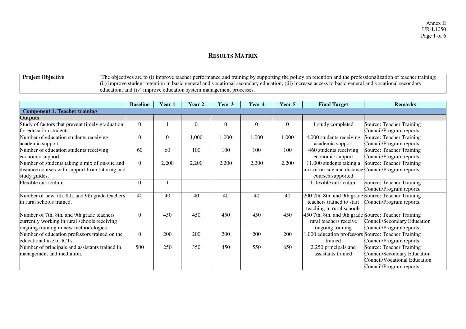## **RESULTS MATRIX**

| <b>Project Objective</b> | The objectives are to (1) improve teacher performance and training by supporting the policy on retention and the professionalization of teacher training |
|--------------------------|----------------------------------------------------------------------------------------------------------------------------------------------------------|
|                          | $(11)$ improve student retention in basic general and vocational secondary education; $(11)$ increase access to basic general and vocational secondary   |
|                          | education:<br>and (1V)<br>I improve education system management processes                                                                                |

|                                                 | <b>Baseline</b> | Year 1   | Year 2   | Year 3   | Year 4   | Year 5   | <b>Final Target</b>                                  | <b>Remarks</b>               |
|-------------------------------------------------|-----------------|----------|----------|----------|----------|----------|------------------------------------------------------|------------------------------|
| <b>Component 1. Teacher training</b>            |                 |          |          |          |          |          |                                                      |                              |
| <b>Outputs</b>                                  |                 |          |          |          |          |          |                                                      |                              |
| Study of factors that prevent timely graduation | $\theta$        |          | $\Omega$ | $\Omega$ | $\theta$ | $\Omega$ | study completed                                      | Source: Teacher Training     |
| for education students.                         |                 |          |          |          |          |          |                                                      | Council/Program reports.     |
| Number of education students receiving          | $\theta$        | $\theta$ | 1,000    | 1,000    | 1,000    | 1,000    | 4,000 students receiving                             | Source: Teacher Training     |
| academic support.                               |                 |          |          |          |          |          | academic support                                     | Council/Program reports.     |
| Number of education students receiving          | 60              | 60       | 100      | 100      | 100      | 100      | 460 students receiving                               | Source: Teacher Training     |
| economic support.                               |                 |          |          |          |          |          | economic support                                     | Council/Program reports.     |
| Number of students taking a mix of on-site and  | $\Omega$        | 2,200    | 2,200    | 2,200    | 2,200    | 2,200    | 11,000 students taking a                             | Source: Teacher Training     |
| distance courses with support from tutoring and |                 |          |          |          |          |          | mix of on-site and distance Council/Program reports. |                              |
| study guides.                                   |                 |          |          |          |          |          | courses supported                                    |                              |
| Flexible curriculum.                            | $\theta$        |          |          |          |          |          | flexible curriculum                                  | Source: Teacher Training     |
|                                                 |                 |          |          |          |          |          |                                                      | Council/Program reports.     |
| Number of new 7th, 8th, and 9th grade teachers  | 40              | 40       | 40       | 40       | 40       | 40       | 200 7th, 8th, and 9th grade Source: Teacher Training |                              |
| in rural schools trained.                       |                 |          |          |          |          |          | teachers trained to start                            | Council/Program reports.     |
|                                                 |                 |          |          |          |          |          | teaching in rural schools                            |                              |
| Number of 7th, 8th, and 9th grade teachers      | $\Omega$        | 450      | 450      | 450      | 450      | 450      | 450 7th, 8th, and 9th grade Source: Teacher Training |                              |
| currently working in rural schools receiving    |                 |          |          |          |          |          | rural teachers receive                               | Council/Secondary Education  |
| ongoing training in new methodologies.          |                 |          |          |          |          |          | ongoing training                                     | Council/Program reports.     |
| Number of education professors trained on the   | $\theta$        | 200      | 200      | 200      | 200      | 200      | 1,000 education professors                           | Source: Teacher Training     |
| educational use of ICTs.                        |                 |          |          |          |          |          | trained                                              | Council/Program reports.     |
| Number of principals and assistants trained in  | 500             | 250      | 350      | 450      | 550      | 650      | 2,250 principals and                                 | Source: Teacher Training     |
| management and mediation.                       |                 |          |          |          |          |          | assistants trained                                   | Council/Secondary Education  |
|                                                 |                 |          |          |          |          |          |                                                      | Council/Vocational Education |
|                                                 |                 |          |          |          |          |          |                                                      | Council/Program reports.     |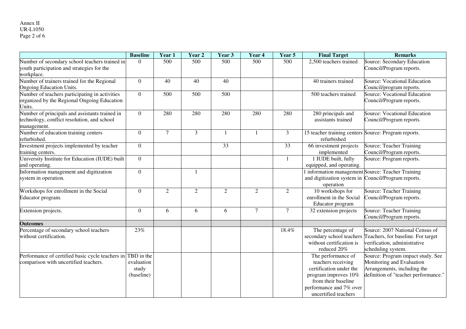#### Annex II UR-L1050 Page 2 of 6

|                                                                                                              | <b>Baseline</b>                   | Year 1         | Year 2         | Year 3          | Year 4         | Year 5          | <b>Final Target</b>                                                                                                                                                   | <b>Remarks</b>                                                                                                                        |
|--------------------------------------------------------------------------------------------------------------|-----------------------------------|----------------|----------------|-----------------|----------------|-----------------|-----------------------------------------------------------------------------------------------------------------------------------------------------------------------|---------------------------------------------------------------------------------------------------------------------------------------|
| Number of secondary school teachers trained in<br>youth participation and strategies for the<br>workplace.   | $\Omega$                          | 500            | 500            | 500             | 500            | 500             | 2,500 teachers trained                                                                                                                                                | Source: Secondary Education<br>Council/Program reports.                                                                               |
| Number of trainers trained for the Regional<br><b>Ongoing Education Units.</b>                               | $\overline{0}$                    | 40             | 40             | 40              |                |                 | 40 trainers trained                                                                                                                                                   | Source: Vocational Education<br>Council/program reports.                                                                              |
| Number of teachers participating in activities<br>organized by the Regional Ongoing Education<br>Units.      | $\overline{0}$                    | 500            | 500            | 500             |                |                 | $\overline{500}$ teachers trained                                                                                                                                     | Source: Vocational Education<br>Council/Program reports.                                                                              |
| Number of principals and assistants trained in<br>technology, conflict resolution, and school<br>management. | $\overline{0}$                    | 280            | 280            | 280             | 280            | 280             | 280 principals and<br>assistants trained                                                                                                                              | Source: Vocational Education<br>Council/Program reports.                                                                              |
| Number of education training centers<br>refurbished.                                                         | $\overline{0}$                    | $\overline{7}$ | $\overline{3}$ | $\mathbf{1}$    |                | $\overline{3}$  | 15 teacher training centers Source: Program reports.<br>refurbished                                                                                                   |                                                                                                                                       |
| Investment projects implemented by teacher<br>training centers.                                              | $\overline{0}$                    |                |                | $\overline{33}$ |                | $\overline{33}$ | 66 investment projects<br>implemented                                                                                                                                 | <b>Source: Teacher Training</b><br>Council/Program reports.                                                                           |
| University Institute for Education (IUDE) built<br>and operating.                                            | $\overline{0}$                    |                |                |                 |                |                 | 1 IUDE built, fully<br>equipped, and operating.                                                                                                                       | Source: Program reports.                                                                                                              |
| Information management and digitization<br>system in operation.                                              | $\overline{0}$                    |                |                |                 |                |                 | and digitization system in Council/Program reports.<br>operation                                                                                                      | information management Source: Teacher Training                                                                                       |
| Workshops for enrollment in the Social<br>Educator program.                                                  | $\boldsymbol{0}$                  | $\overline{2}$ | $\overline{2}$ | 2               | $\overline{2}$ | $\overline{2}$  | 10 workshops for<br>enrollment in the Social<br>Educator program                                                                                                      | Source: Teacher Training<br>Council/Program reports.                                                                                  |
| Extension projects.                                                                                          | $\overline{0}$                    | 6              | 6              | 6               | $\overline{7}$ | $\tau$          | 32 extension projects                                                                                                                                                 | <b>Source: Teacher Training</b><br>Council/Program reports.                                                                           |
| <b>Outcomes</b>                                                                                              |                                   |                |                |                 |                |                 |                                                                                                                                                                       |                                                                                                                                       |
| Percentage of secondary school teachers<br>without certification.                                            | 23%                               |                |                |                 |                | 18.4%           | The percentage of<br>secondary school teachers<br>without certification is<br>reduced 20%                                                                             | Source: 2007 National Census of<br>Teachers, for baseline. For target<br>verification, administrative<br>scheduling system.           |
| Performance of certified basic cycle teachers in TBD in the<br>comparison with uncertified teachers.         | evaluation<br>study<br>(baseline) |                |                |                 |                |                 | The performance of<br>teachers receiving<br>certification under the<br>program improves 10%<br>from their baseline<br>performance and 7% over<br>uncertified teachers | Source: Program impact study. See<br>Monitoring and Evaluation<br>Arrangements, including the<br>definition of "teacher performance." |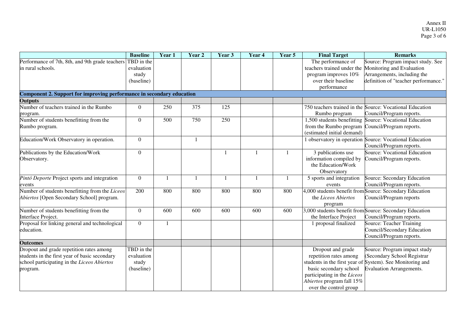|                                                                                           | <b>Baseline</b>          | Year 1       | Year 2 | Year 3           | Year 4       | Year 5 | <b>Final Target</b>                                                                | <b>Remarks</b>                                                                      |
|-------------------------------------------------------------------------------------------|--------------------------|--------------|--------|------------------|--------------|--------|------------------------------------------------------------------------------------|-------------------------------------------------------------------------------------|
| Performance of 7th, 8th, and 9th grade teachers                                           | TBD in the               |              |        |                  |              |        | The performance of                                                                 | Source: Program impact study. See                                                   |
| in rural schools.                                                                         | evaluation               |              |        |                  |              |        | teachers trained under the                                                         | Monitoring and Evaluation                                                           |
|                                                                                           | study                    |              |        |                  |              |        | program improves 10%                                                               | Arrangements, including the                                                         |
|                                                                                           | (baseline)               |              |        |                  |              |        | over their baseline                                                                | definition of "teacher performance."                                                |
|                                                                                           |                          |              |        |                  |              |        | performance                                                                        |                                                                                     |
| Component 2. Support for improving performance in secondary education                     |                          |              |        |                  |              |        |                                                                                    |                                                                                     |
| Outputs                                                                                   |                          |              |        |                  |              |        |                                                                                    |                                                                                     |
| Number of teachers trained in the Rumbo<br>program.                                       | $\theta$                 | 250          | 375    | 125              |              |        | 750 teachers trained in the<br>Rumbo program                                       | Source: Vocational Education<br>Council/Program reports.                            |
| Number of students benefitting from the                                                   | $\overline{0}$           | 500          | 750    | 250              |              |        | 1,500 students benefitting                                                         | Source: Vocational Education                                                        |
| Rumbo program.                                                                            |                          |              |        |                  |              |        | from the Rumbo program<br>(estimated initial demand)                               | Council/Program reports.                                                            |
| Education/Work Observatory in operation.                                                  | $\overline{0}$           |              |        |                  |              |        | observatory in operation                                                           | Source: Vocational Education<br>Council/Program reports.                            |
| Publications by the Education/Work<br>Observatory.                                        | $\Omega$                 |              |        |                  |              |        | 3 publications use<br>information compiled by<br>the Education/Work<br>Observatory | <b>Source: Vocational Education</b><br>Council/Program reports.                     |
| Pintó Deporte Project sports and integration<br>events                                    | $\mathbf{0}$             | $\mathbf{1}$ |        |                  | $\mathbf{1}$ |        | 5 sports and integration<br>events                                                 | Source: Secondary Education<br>Council/Program reports.                             |
| Number of students benefitting from the Liceos                                            | 200                      | 800          | 800    | 800              | 800          | 800    |                                                                                    | 4,000 students benefit from Source: Secondary Education                             |
| Abiertos [Open Secondary School] program.                                                 |                          |              |        |                  |              |        | the Liceos Abiertos<br>program                                                     | Council/Program reports                                                             |
| Number of students benefitting from the                                                   | $\Omega$                 | 600          | 600    | $\overline{600}$ | 600          | 600    |                                                                                    | 3,000 students benefit from Source: Secondary Education                             |
| Interface Project.                                                                        |                          |              |        |                  |              |        | the Interface Project                                                              | Council/Program reports.                                                            |
| Proposal for linking general and technological<br>education.                              | $\theta$                 | 1            |        |                  |              |        | 1 proposal finalized                                                               | Source: Teacher Training<br>Council/Secondary Education<br>Council/Program reports. |
| <b>Outcomes</b>                                                                           |                          |              |        |                  |              |        |                                                                                    |                                                                                     |
| Dropout and grade repetition rates among<br>students in the first year of basic secondary | TBD in the<br>evaluation |              |        |                  |              |        | Dropout and grade<br>repetition rates among                                        | Source: Program impact study<br>(Secondary School Registrar                         |
| school participating in the Liceos Abiertos                                               | study                    |              |        |                  |              |        |                                                                                    | students in the first year of System). See Monitoring and                           |
| program.                                                                                  | (baseline)               |              |        |                  |              |        | basic secondary school                                                             | Evaluation Arrangements.                                                            |
|                                                                                           |                          |              |        |                  |              |        | participating in the Liceos                                                        |                                                                                     |
|                                                                                           |                          |              |        |                  |              |        | Abiertos program fall 15%                                                          |                                                                                     |
|                                                                                           |                          |              |        |                  |              |        | over the control group                                                             |                                                                                     |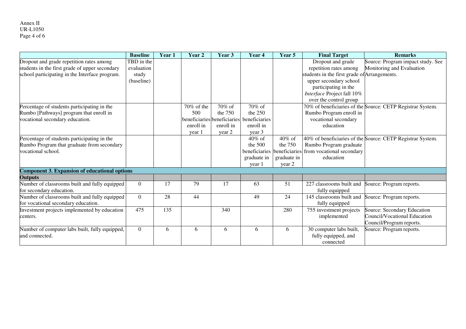|                                                      | <b>Baseline</b>  | Year <sub>1</sub> | Year <sub>2</sub>           | Year 3    | Year <sub>4</sub> | Year 5      | <b>Final Target</b>                          | <b>Remarks</b>                                             |
|------------------------------------------------------|------------------|-------------------|-----------------------------|-----------|-------------------|-------------|----------------------------------------------|------------------------------------------------------------|
| Dropout and grade repetition rates among             | TBD in the       |                   |                             |           |                   |             | Dropout and grade                            | Source: Program impact study. See                          |
| students in the first grade of upper secondary       | evaluation       |                   |                             |           |                   |             | repetition rates among                       | Monitoring and Evaluation                                  |
| school participating in the Interface program.       | study            |                   |                             |           |                   |             | students in the first grade of Arrangements. |                                                            |
|                                                      | (baseline)       |                   |                             |           |                   |             | upper secondary school                       |                                                            |
|                                                      |                  |                   |                             |           |                   |             | participating in the                         |                                                            |
|                                                      |                  |                   |                             |           |                   |             | Interface Project fall 10%                   |                                                            |
|                                                      |                  |                   |                             |           |                   |             | over the control group                       |                                                            |
| Percentage of students participating in the          |                  |                   | 70% of the                  | 70% of    | 70% of            |             |                                              | 70% of beneficiaries of the Source: CETP Registrar System. |
| Rumbo [Pathways] program that enroll in              |                  |                   | 500                         | the $750$ | the $250$         |             | Rumbo Program enroll in                      |                                                            |
| vocational secondary education.                      |                  |                   | beneficiaries beneficiaries |           | beneficiaries     |             | vocational secondary                         |                                                            |
|                                                      |                  |                   | enroll in                   | enroll in | enroll in         |             | education                                    |                                                            |
|                                                      |                  |                   | year 1                      | year 2    | year 3            |             |                                              |                                                            |
| Percentage of students participating in the          |                  |                   |                             |           | $40\%$ of         | $40\%$ of   |                                              | 40% of beneficiaries of the Source: CETP Registrar System. |
| Rumbo Program that graduate from secondary           |                  |                   |                             |           | the 500           | the 750     | Rumbo Program graduate                       |                                                            |
| vocational school.                                   |                  |                   |                             |           | beneficiaries     |             | beneficiaries from vocational secondary      |                                                            |
|                                                      |                  |                   |                             |           | graduate in       | graduate in | education                                    |                                                            |
|                                                      |                  |                   |                             |           | year 1            | year 2      |                                              |                                                            |
| <b>Component 3. Expansion of educational options</b> |                  |                   |                             |           |                   |             |                                              |                                                            |
| <b>Outputs</b>                                       |                  |                   |                             |           |                   |             |                                              |                                                            |
| Number of classrooms built and fully equipped        | $\boldsymbol{0}$ | 17                | 79                          | 17        | 63                | 51          | 227 classrooms built and                     | Source: Program reports.                                   |
| for secondary education.                             |                  |                   |                             |           |                   |             | fully equipped                               |                                                            |
| Number of classrooms built and fully equipped        | $\boldsymbol{0}$ | 28                | 44                          |           | 49                | 24          | 145 classrooms built and                     | Source: Program reports.                                   |
| for vocational secondary education.                  |                  |                   |                             |           |                   |             | fully equipped                               |                                                            |
| Investment projects implemented by education         | 475              | $\overline{135}$  |                             | 340       |                   | 280         | 755 investment projects                      | Source: Secondary Education                                |
| centers.                                             |                  |                   |                             |           |                   |             | implemented                                  | Council/Vocational Education                               |
|                                                      |                  |                   |                             |           |                   |             |                                              | Council/Program reports.                                   |
| Number of computer labs built, fully equipped,       | $\overline{0}$   | 6                 | 6                           | 6         | 6                 | 6           | 30 computer labs built,                      | Source: Program reports.                                   |
| and connected.                                       |                  |                   |                             |           |                   |             | fully equipped, and                          |                                                            |
|                                                      |                  |                   |                             |           |                   |             | connected                                    |                                                            |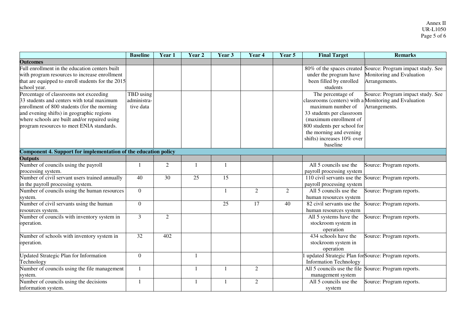|                                                                 | <b>Baseline</b> | Year 1 | Year 2 | Year 3 | Year 4          | Year 5         | <b>Final Target</b>                                  | <b>Remarks</b>                                        |
|-----------------------------------------------------------------|-----------------|--------|--------|--------|-----------------|----------------|------------------------------------------------------|-------------------------------------------------------|
| <b>Outcomes</b>                                                 |                 |        |        |        |                 |                |                                                      |                                                       |
| Full enrollment in the education centers built                  |                 |        |        |        |                 |                | 80% of the spaces created                            | Source: Program impact study. See                     |
| with program resources to increase enrollment                   |                 |        |        |        |                 |                | under the program have                               | Monitoring and Evaluation                             |
| that are equipped to enroll students for the 2015               |                 |        |        |        |                 |                | been filled by enrolled                              | Arrangements.                                         |
| school year.                                                    |                 |        |        |        |                 |                | students                                             |                                                       |
| Percentage of classrooms not exceeding                          | TBD using       |        |        |        |                 |                | The percentage of                                    | Source: Program impact study. See                     |
| 33 students and centers with total maximum                      | administra-     |        |        |        |                 |                |                                                      | classrooms (centers) with a Monitoring and Evaluation |
| enrollment of 800 students (for the morning                     | tive data       |        |        |        |                 |                | maximum number of                                    | Arrangements.                                         |
| and evening shifts) in geographic regions                       |                 |        |        |        |                 |                | 33 students per classroom                            |                                                       |
| where schools are built and/or repaired using                   |                 |        |        |        |                 |                | (maximum enrollment of                               |                                                       |
| program resources to meet ENIA standards.                       |                 |        |        |        |                 |                | 800 students per school for                          |                                                       |
|                                                                 |                 |        |        |        |                 |                | the morning and evening                              |                                                       |
|                                                                 |                 |        |        |        |                 |                | shifts) increases 10% over                           |                                                       |
|                                                                 |                 |        |        |        |                 |                | baseline                                             |                                                       |
| Component 4. Support for implementation of the education policy |                 |        |        |        |                 |                |                                                      |                                                       |
| <b>Outputs</b>                                                  |                 |        |        |        |                 |                |                                                      |                                                       |
| Number of councils using the payroll                            |                 | 2      |        |        |                 |                | All 5 councils use the                               | Source: Program reports.                              |
| processing system.                                              |                 |        |        |        |                 |                | payroll processing system                            |                                                       |
| Number of civil servant users trained annually                  | 40              | 30     | 25     | 15     |                 |                | 110 civil servants use the                           | Source: Program reports.                              |
| in the payroll processing system.                               |                 |        |        |        |                 |                | payroll processing system                            |                                                       |
| Number of councils using the human resources                    | $\overline{0}$  |        |        | 1      | $\overline{2}$  | $\overline{2}$ | All 5 councils use the                               | Source: Program reports.                              |
| system.                                                         |                 |        |        |        |                 |                | human resources system                               |                                                       |
| Number of civil servants using the human                        | $\overline{0}$  |        |        | 25     | $\overline{17}$ | 40             | 82 civil servants use the                            | Source: Program reports.                              |
| resources system.                                               |                 |        |        |        |                 |                | human resources system                               |                                                       |
| Number of councils with inventory system in                     | 3               | 2      |        |        |                 |                | All 5 systems have the                               | Source: Program reports.                              |
| operation.                                                      |                 |        |        |        |                 |                | stockroom system in                                  |                                                       |
|                                                                 |                 |        |        |        |                 |                | operation                                            |                                                       |
| Number of schools with inventory system in                      | 32              | 402    |        |        |                 |                | 434 schools have the                                 | Source: Program reports.                              |
| operation.                                                      |                 |        |        |        |                 |                | stockroom system in                                  |                                                       |
|                                                                 |                 |        |        |        |                 |                | operation                                            |                                                       |
| <b>Updated Strategic Plan for Information</b>                   | $\overline{0}$  |        |        |        |                 |                | updated Strategic Plan for Source: Program reports.  |                                                       |
| Technology                                                      |                 |        |        |        |                 |                | <b>Information Technology</b>                        |                                                       |
| Number of councils using the file management                    | $\mathbf{1}$    |        |        |        | $\overline{2}$  |                | All 5 councils use the file Source: Program reports. |                                                       |
| system.                                                         |                 |        |        |        |                 |                | management system                                    |                                                       |
| Number of councils using the decisions                          |                 |        |        |        | $\overline{2}$  |                | All 5 councils use the                               | Source: Program reports.                              |
| information system.                                             |                 |        |        |        |                 |                | system                                               |                                                       |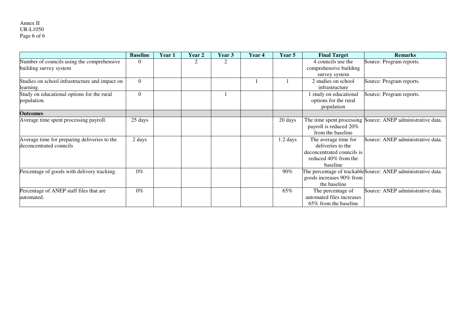|                                                                         | <b>Baseline</b> | Year 1 | Year <sub>2</sub> | Year 3 | Year 4 | Year 5     | <b>Final Target</b>                                                                                         | <b>Remarks</b>                                                |
|-------------------------------------------------------------------------|-----------------|--------|-------------------|--------|--------|------------|-------------------------------------------------------------------------------------------------------------|---------------------------------------------------------------|
| Number of councils using the comprehensive<br>building survey system    |                 |        |                   |        |        |            | 4 councils use the<br>comprehensive building                                                                | Source: Program reports.                                      |
|                                                                         |                 |        |                   |        |        |            | survey system                                                                                               |                                                               |
| Studies on school infrastructure and impact on<br>learning.             | $\theta$        |        |                   |        |        |            | 2 studies on school<br>infrastructure                                                                       | Source: Program reports.                                      |
| Study on educational options for the rural<br>population.               | $\Omega$        |        |                   |        |        |            | 1 study on educational<br>options for the rural<br>population                                               | Source: Program reports.                                      |
| <b>Outcomes</b>                                                         |                 |        |                   |        |        |            |                                                                                                             |                                                               |
| Average time spent processing payroll.                                  | 25 days         |        |                   |        |        | 20 days    | payroll is reduced 20%<br>from the baseline                                                                 | The time spent processing Source: ANEP administrative data.   |
| Average time for preparing deliveries to the<br>deconcentrated councils | 2 days          |        |                   |        |        | $1.2$ days | The average time for<br>deliveries to the<br>deconcentrated councils is<br>reduced 40% from the<br>baseline | Source: ANEP administrative data.                             |
| Percentage of goods with delivery tracking.                             | $0\%$           |        |                   |        |        | 90%        | goods increases 90% from<br>the baseline                                                                    | The percentage of trackable Source: ANEP administrative data. |
| Percentage of ANEP staff files that are<br>automated.                   | $0\%$           |        |                   |        |        | 65%        | The percentage of<br>automated files increases<br>65% from the baseline                                     | Source: ANEP administrative data.                             |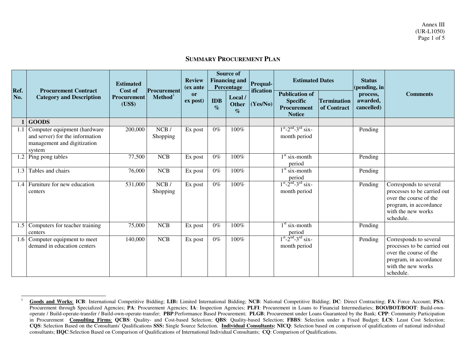#### **SUMMARY PROCUREMENT PLAN**

| Ref.          | <b>Procurement Contract</b><br><b>Category and Description</b>                                           | <b>Estimated</b><br>Cost of<br>Procurement<br>(US\$) | Procurement<br>Method <sup>1</sup> | <b>Review</b><br>(ex ante |                    | <b>Source of</b><br><b>Financing and</b><br>Percentage | <b>Prequal-</b><br>ification | <b>Estimated Dates</b>                                                   |                                   | <b>Status</b><br>(pending, in      |                                                                                                                                              |
|---------------|----------------------------------------------------------------------------------------------------------|------------------------------------------------------|------------------------------------|---------------------------|--------------------|--------------------------------------------------------|------------------------------|--------------------------------------------------------------------------|-----------------------------------|------------------------------------|----------------------------------------------------------------------------------------------------------------------------------------------|
| No.           |                                                                                                          |                                                      |                                    | or<br>ex post)            | <b>IDB</b><br>$\%$ | Local /<br><b>Other</b><br>$\mathcal{O}_0$             | (Yes/No)                     | <b>Publication of</b><br><b>Specific</b><br>Procurement<br><b>Notice</b> | <b>Termination</b><br>of Contract | process,<br>awarded,<br>cancelled) | <b>Comments</b>                                                                                                                              |
|               | <b>GOODS</b>                                                                                             |                                                      |                                    |                           |                    |                                                        |                              |                                                                          |                                   |                                    |                                                                                                                                              |
| 1.1           | Computer equipment (hardware<br>and server) for the information<br>management and digitization<br>system | 200,000                                              | NCB/<br>Shopping                   | Ex post                   | $0\%$              | $100\%$                                                |                              | $1^{st}$ -2 <sup>nd</sup> -3 <sup>rd</sup> six-<br>month period          |                                   | Pending                            |                                                                                                                                              |
| 1.2           | Ping pong tables                                                                                         | 77,500                                               | <b>NCB</b>                         | Ex post                   | $0\%$              | 100%                                                   |                              | $1st$ six-month<br>period                                                |                                   | Pending                            |                                                                                                                                              |
| 1.3           | Tables and chairs                                                                                        | 76,000                                               | NCB                                | Ex post                   | $0\%$              | 100%                                                   |                              | $1st$ six-month<br>period                                                |                                   | Pending                            |                                                                                                                                              |
| $1.4^{\circ}$ | Furniture for new education<br>centers                                                                   | 531,000                                              | NCB/<br>Shopping                   | Ex post                   | $0\%$              | 100%                                                   |                              | $1st - 2nd - 3rd$ six-<br>month period                                   |                                   | Pending                            | Corresponds to several<br>processes to be carried out<br>over the course of the<br>program, in accordance<br>with the new works<br>schedule. |
| 1.5           | Computers for teacher training<br>centers                                                                | 75,000                                               | NCB                                | Ex post                   | $0\%$              | 100%                                                   |                              | $1st$ six-month<br>period                                                |                                   | Pending                            |                                                                                                                                              |
| 1.6           | Computer equipment to meet<br>demand in education centers                                                | 140,000                                              | <b>NCB</b>                         | Ex post                   | $0\%$              | 100%                                                   |                              | $1st - 2nd - 3rd$ six-<br>month period                                   |                                   | Pending                            | Corresponds to several<br>processes to be carried out<br>over the course of the<br>program, in accordance<br>with the new works<br>schedule. |

**Goods and Works**: **ICB**: International Competitive Bidding; **LIB:** Limited International Bidding; **NCB**: National Competitive Bidding; **DC**: Direct Contracting; **FA**: Force Account; **PSA**: Procurement through Specialized Agencies; **PA**: Procurement Agencies; **IA**: Inspection Agencies; **PLFI**: Procurement in Loans to Financial Intermediaries; **BOO/BOT/BOOT**: Build-ownoperate / Build-operate-transfer / Build-own-operate-transfer; **PBP**:Performance Based Procurement; **PLGB**; Procurement under Loans Guaranteed by the Bank; **CPP**: Community Participation in Procurement **Consulting Firms**: **QCBS**: Quality- and Cost-based Selection; **QBS**: Quality-based Selection; **FBBS**: Selection under a Fixed Budget; **LCS**: Least Cost Selection; **CQS**: Selection Based on the Consultants' Qualifications **SSS:** Single Source Selection. **Individual Consultants: NICQ**: Selection based on comparison of qualifications of national individual consultants; **IIQC**:Selection Based on Comparison of Qualifications of International Individual Consultants; **CQ**: Comparison of Qualifications.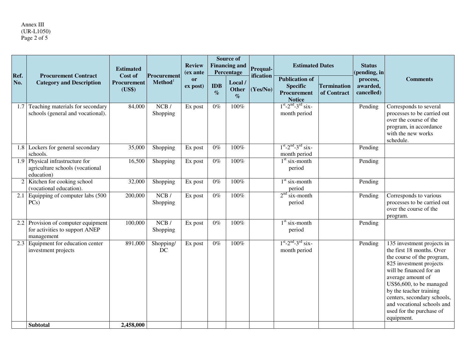# Annex III (UR-L1050) Page 2 of 5

| Ref. | <b>Procurement Contract</b><br><b>Category and Description</b>                  | <b>Estimated</b><br>Cost of  | Procurement      | <b>Review</b><br>(ex ante | <b>Source of</b><br><b>Financing and</b><br>Percentage |                                | Prequal-<br>ification | <b>Estimated Dates</b>                                                   |                                   | <b>Status</b><br>pending, in       |                                                                                                                                                                                                                                                                                                                                |
|------|---------------------------------------------------------------------------------|------------------------------|------------------|---------------------------|--------------------------------------------------------|--------------------------------|-----------------------|--------------------------------------------------------------------------|-----------------------------------|------------------------------------|--------------------------------------------------------------------------------------------------------------------------------------------------------------------------------------------------------------------------------------------------------------------------------------------------------------------------------|
| No.  |                                                                                 | <b>Procurement</b><br>(US\$) | $Method1$        | or<br>ex post)            | IDB<br>$\%$                                            | Local/<br><b>Other</b><br>$\%$ | (Yes/No)              | <b>Publication of</b><br><b>Specific</b><br>Procurement<br><b>Notice</b> | <b>Termination</b><br>of Contract | process,<br>awarded,<br>cancelled) | <b>Comments</b>                                                                                                                                                                                                                                                                                                                |
| 1.7  | Teaching materials for secondary<br>schools (general and vocational).           | 84,000                       | NCB/<br>Shopping | Ex post                   | $0\%$                                                  | 100%                           |                       | $1^{st} - 2^{nd} - 3^{rd}$ six-<br>month period                          |                                   | Pending                            | Corresponds to several<br>processes to be carried out<br>over the course of the<br>program, in accordance<br>with the new works<br>schedule.                                                                                                                                                                                   |
| 1.8  | Lockers for general secondary<br>schools.                                       | 35,000                       | Shopping         | Ex post                   | $0\%$                                                  | $100\%$                        |                       | $1st - 2nd - 3rd$ six-<br>month period                                   |                                   | Pending                            |                                                                                                                                                                                                                                                                                                                                |
| 1.9  | Physical infrastructure for<br>agriculture schools (vocational<br>education)    | 16,500                       | Shopping         | Ex post                   | $0\%$                                                  | $100\%$                        |                       | $1st$ six-month<br>period                                                |                                   | Pending                            |                                                                                                                                                                                                                                                                                                                                |
|      | 2 Kitchen for cooking school<br>(vocational education).                         | 32,000                       | Shopping         | Ex post                   | $0\%$                                                  | 100%                           |                       | $1st$ six-month<br>period                                                |                                   | Pending                            |                                                                                                                                                                                                                                                                                                                                |
| 2.1  | Equipping of computer labs (500<br>PCs)                                         | 200,000                      | NCB/<br>Shopping | Ex post                   | $0\%$                                                  | $100\%$                        |                       | $2nd$ six-month<br>period                                                |                                   | Pending                            | Corresponds to various<br>processes to be carried out<br>over the course of the<br>program.                                                                                                                                                                                                                                    |
| 2.2  | Provision of computer equipment<br>for activities to support ANEP<br>management | 100,000                      | NCB/<br>Shopping | Ex post                   | $0\%$                                                  | $100\%$                        |                       | $1st$ six-month<br>period                                                |                                   | Pending                            |                                                                                                                                                                                                                                                                                                                                |
| 2.3  | Equipment for education center<br>investment projects                           | 891,000                      | Shopping/<br>DC  | Ex post                   | $0\%$                                                  | 100%                           |                       | $1^{st} - 2^{nd} - 3^{rd}$ six-<br>month period                          |                                   | Pending                            | 135 investment projects in<br>the first 18 months. Over<br>the course of the program,<br>825 investment projects<br>will be financed for an<br>average amount of<br>US\$6,600, to be managed<br>by the teacher training<br>centers, secondary schools,<br>and vocational schools and<br>used for the purchase of<br>equipment. |
|      | <b>Subtotal</b>                                                                 | 2,458,000                    |                  |                           |                                                        |                                |                       |                                                                          |                                   |                                    |                                                                                                                                                                                                                                                                                                                                |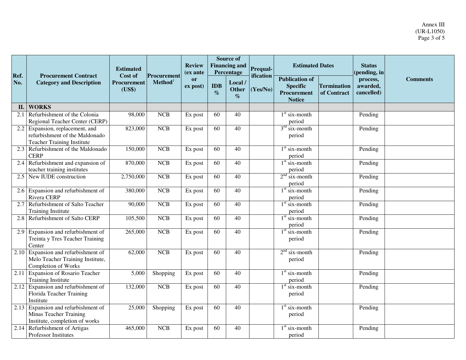| Ref. | <b>Procurement Contract</b><br><b>Category and Description</b>                                         | <b>Estimated</b><br>Cost of | Procurement | <b>Review</b><br>(ex ante |                                 | <b>Source of</b><br><b>Financing and</b><br>Percentage | Prequal-<br>ification | <b>Estimated Dates</b>                                                   |                                   | <b>Status</b><br>(pending, in      |                 |
|------|--------------------------------------------------------------------------------------------------------|-----------------------------|-------------|---------------------------|---------------------------------|--------------------------------------------------------|-----------------------|--------------------------------------------------------------------------|-----------------------------------|------------------------------------|-----------------|
| No.  |                                                                                                        | Procurement<br>(US\$)       | $Method1$   | or<br>ex post)            | IDB<br>$\mathcal{O}_{\!\!f\!o}$ | Local /<br>Other<br>$\%$                               | (Yes/No)              | <b>Publication of</b><br><b>Specific</b><br>Procurement<br><b>Notice</b> | <b>Termination</b><br>of Contract | process,<br>awarded,<br>cancelled) | <b>Comments</b> |
| II.  | <b>WORKS</b>                                                                                           |                             |             |                           |                                 |                                                        |                       |                                                                          |                                   |                                    |                 |
| 2.1  | Refurbishment of the Colonia<br>Regional Teacher Center (CERP)                                         | 98,000                      | <b>NCB</b>  | Ex post                   | 60                              | 40                                                     |                       | $1st$ six-month<br>period                                                |                                   | Pending                            |                 |
|      | 2.2 Expansion, replacement, and<br>refurbishment of the Maldonado<br><b>Teacher Training Institute</b> | 823,000                     | <b>NCB</b>  | Ex post                   | 60                              | 40                                                     |                       | $3rd$ six-month<br>period                                                |                                   | Pending                            |                 |
|      | 2.3 Refurbishment of the Maldonado<br><b>CERP</b>                                                      | 150,000                     | <b>NCB</b>  | Ex post                   | 60                              | 40                                                     |                       | $1st$ six-month<br>period                                                |                                   | Pending                            |                 |
| 2.4  | Refurbishment and expansion of<br>teacher training institutes                                          | 870,000                     | <b>NCB</b>  | Ex post                   | 60                              | 40                                                     |                       | $\overline{1^{st}}$ six-month<br>period                                  |                                   | Pending                            |                 |
| 2.5  | New IUDE construction                                                                                  | 2,750,000                   | <b>NCB</b>  | Ex post                   | 60                              | 40                                                     |                       | $2nd$ six-month<br>period                                                |                                   | Pending                            |                 |
| 2.6  | Expansion and refurbishment of<br>Rivera CERP                                                          | 380,000                     | NCB         | Ex post                   | 60                              | $\overline{40}$                                        |                       | $1st$ six-month<br>period                                                |                                   | Pending                            |                 |
| 2.7  | Refurbishment of Salto Teacher<br><b>Training Institute</b>                                            | 90,000                      | <b>NCB</b>  | Ex post                   | 60                              | 40                                                     |                       | $1st$ six-month<br>period                                                |                                   | Pending                            |                 |
| 2.8  | Refurbishment of Salto CERP                                                                            | 105,500                     | <b>NCB</b>  | Ex post                   | 60                              | 40                                                     |                       | $1st$ six-month<br>period                                                |                                   | Pending                            |                 |
| 2.9  | Expansion and refurbishment of<br>Treinta y Tres Teacher Training<br>Center                            | 265,000                     | NCB         | Ex post                   | 60                              | $\overline{40}$                                        |                       | $1st$ six-month<br>period                                                |                                   | Pending                            |                 |
| 2.10 | Expansion and refurbishment of<br>Melo Teacher Training Institute,<br>Completion of Works              | 62,000                      | <b>NCB</b>  | Ex post                   | 60                              | 40                                                     |                       | $2nd$ six-month<br>period                                                |                                   | Pending                            |                 |
| 2.11 | <b>Expansion of Rosario Teacher</b><br><b>Training Institute</b>                                       | 5,000                       | Shopping    | Ex post                   | 60                              | 40                                                     |                       | $1st$ six-month<br>period                                                |                                   | Pending                            |                 |
| 2.12 | Expansion and refurbishment of<br>Florida Teacher Training<br>Institute                                | 132,000                     | <b>NCB</b>  | Ex post                   | 60                              | 40                                                     |                       | $1st$ six-month<br>period                                                |                                   | Pending                            |                 |
|      | 2.13 Expansion and refurbishment of<br>Minas Teacher Training<br>Institute, completion of works        | 25,000                      | Shopping    | Ex post                   | 60                              | 40                                                     |                       | $1st$ six-month<br>period                                                |                                   | Pending                            |                 |
|      | 2.14 Refurbishment of Artigas<br>Professor Institutes                                                  | 465,000                     | NCB         | Ex post                   | 60                              | 40                                                     |                       | $1st$ six-month<br>period                                                |                                   | Pending                            |                 |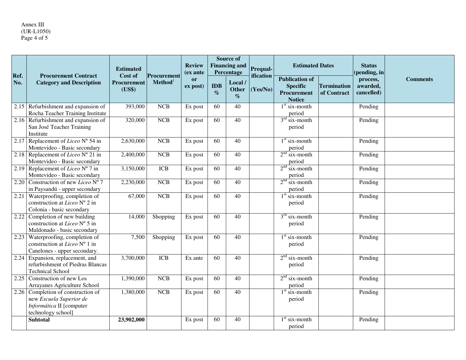# Annex III (UR-L1050) Page 4 of 5

|             |                                                                                                            | <b>Estimated</b>                 | Procurement<br>Method <sup>1</sup> | <b>Review</b>         | <b>Source of</b><br><b>Financing and</b><br>Percentage<br>(ex ante |                                | <b>Prequal-</b>       | <b>Estimated Dates</b>                                                          |                                   | <b>Status</b>                                      |                 |
|-------------|------------------------------------------------------------------------------------------------------------|----------------------------------|------------------------------------|-----------------------|--------------------------------------------------------------------|--------------------------------|-----------------------|---------------------------------------------------------------------------------|-----------------------------------|----------------------------------------------------|-----------------|
| Ref.<br>No. | <b>Procurement Contract</b><br><b>Category and Description</b>                                             | Cost of<br>Procurement<br>(US\$) |                                    | <b>or</b><br>ex post) | IDB<br>$\%$                                                        | Local/<br><b>Other</b><br>$\%$ | ification<br>(Yes/No) | <b>Publication of</b><br><b>Specific</b><br><b>Procurement</b><br><b>Notice</b> | <b>Termination</b><br>of Contract | (pending, in<br>process,<br>awarded,<br>cancelled) | <b>Comments</b> |
| 2.15        | Refurbishment and expansion of<br>Rocha Teacher Training Institute                                         | 393,000                          | NCB                                | Ex post               | 60                                                                 | 40                             |                       | $\overline{1^{st}}$ six-month<br>period                                         |                                   | Pending                                            |                 |
|             | 2.16 Refurbishment and expansion of<br>San José Teacher Training<br>Institute                              | 320,000                          | NCB                                | Ex post               | 60                                                                 | 40                             |                       | $3rd$ six-month<br>period                                                       |                                   | Pending                                            |                 |
| 2.17        | Replacement of <i>Liceo</i> $N^{\circ}$ 54 in<br>Montevideo - Basic secondary                              | 2,630,000                        | <b>NCB</b>                         | Ex post               | 60                                                                 | 40                             |                       | $1st$ six-month<br>period                                                       |                                   | Pending                                            |                 |
|             | 2.18 Replacement of <i>Liceo</i> $N^{\circ}$ 21 in<br>Montevideo - Basic secondary                         | 2,400,000                        | NCB                                | Ex post               | 60                                                                 | 40                             |                       | $2nd$ six-month<br>period                                                       |                                   | Pending                                            |                 |
|             | 2.19 Replacement of <i>Liceo</i> $N^{\circ}$ 7 in<br>Montevideo - Basic secondary                          | 3,150,000                        | <b>ICB</b>                         | Ex post               | 60                                                                 | 40                             |                       | $2nd$ six-month<br>period                                                       |                                   | Pending                                            |                 |
| 2.20        | Construction of new Liceo $N^{\circ}$ 7<br>in Paysandú - upper secondary                                   | 2,230,000                        | <b>NCB</b>                         | Ex post               | 60                                                                 | 40                             |                       | $2nd$ six-month<br>period                                                       |                                   | Pending                                            |                 |
| 2.21        | Waterproofing, completion of<br>construction at <i>Liceo</i> $N^{\circ}$ 2 in<br>Colonia - basic secondary | 67,000                           | <b>NCB</b>                         | Ex post               | 60                                                                 | 40                             |                       | $1st$ six-month<br>period                                                       |                                   | Pending                                            |                 |
|             | 2.22 Completion of new building<br>construction at Liceo N° 5 in<br>Maldonado - basic secondary            | 14,000                           | Shopping                           | Ex post               | 60                                                                 | 40                             |                       | $3rd$ six-month<br>period                                                       |                                   | Pending                                            |                 |
| 2.23        | Waterproofing, completion of<br>construction at Liceo $N^{\circ}$ 1 in<br>Canelones - upper secondary.     | 7,500                            | Shopping                           | Ex post               | 60                                                                 | 40                             |                       | $\overline{1^{st}}$ six-month<br>period                                         |                                   | Pending                                            |                 |
| 2.24        | Expansion, replacement, and<br>refurbishment of Piedras Blancas<br><b>Technical School</b>                 | 3,700,000                        | <b>ICB</b>                         | Ex ante               | 60                                                                 | 40                             |                       | $2nd$ six-month<br>period                                                       |                                   | Pending                                            |                 |
| 2.25        | Construction of new Los<br>Arrayanes Agriculture School                                                    | 1,390,000                        | NCB                                | Ex post               | 60                                                                 | 40                             |                       | $2nd$ six-month<br>period                                                       |                                   | Pending                                            |                 |
| 2.26        | Completion of construction of<br>new Escuela Superior de<br>Informática II [computer<br>technology school] | 1,380,000                        | <b>NCB</b>                         | Ex post               | 60                                                                 | 40                             |                       | $1st$ six-month<br>period                                                       |                                   | Pending                                            |                 |
|             | <b>Subtotal</b>                                                                                            | 23,902,000                       |                                    | Ex post               | 60                                                                 | 40                             |                       | $1st$ six-month<br>period                                                       |                                   | Pending                                            |                 |